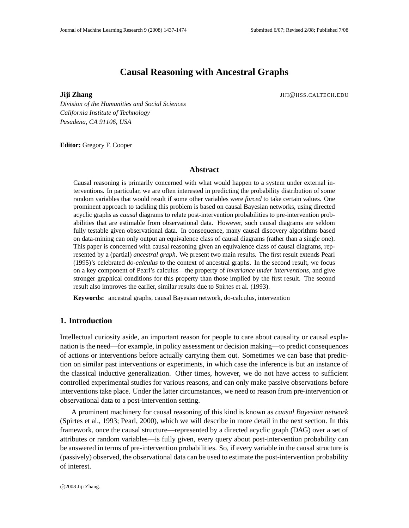# **Causal Reasoning with Ancestral Graphs**

**Jiji Zhang** JIJI@HSS.CALTECH.EDU

*Division of the Humanities and Social Sciences California Institute of Technology Pasadena, CA 91106, USA*

**Editor:** Gregory F. Cooper

### **Abstract**

Causal reasoning is primarily concerned with what would happen to a system under external interventions. In particular, we are often interested in predicting the probability distribution of some random variables that would result if some other variables were *forced* to take certain values. One prominent approach to tackling this problem is based on causal Bayesian networks, using directed acyclic graphs as *causal* diagrams to relate post-intervention probabilities to pre-intervention probabilities that are estimable from observational data. However, such causal diagrams are seldom fully testable given observational data. In consequence, many causal discovery algorithms based on data-mining can only output an equivalence class of causal diagrams (rather than a single one). This paper is concerned with causal reasoning given an equivalence class of causal diagrams, represented by a (partial) *ancestral graph*. We present two main results. The first result extends Pearl (1995)'s celebrated *do-calculus* to the context of ancestral graphs. In the second result, we focus on a key component of Pearl's calculus—the property of *invariance under interventions*, and give stronger graphical conditions for this property than those implied by the first result. The second result also improves the earlier, similar results due to Spirtes et al. (1993).

**Keywords:** ancestral graphs, causal Bayesian network, do-calculus, intervention

# **1. Introduction**

Intellectual curiosity aside, an important reason for people to care about causality or causal explanation is the need—for example, in policy assessment or decision making—to predict consequences of actions or interventions before actually carrying them out. Sometimes we can base that prediction on similar past interventions or experiments, in which case the inference is but an instance of the classical inductive generalization. Other times, however, we do not have access to sufficient controlled experimental studies for various reasons, and can only make passive observations before interventions take place. Under the latter circumstances, we need to reason from pre-intervention or observational data to a post-intervention setting.

A prominent machinery for causal reasoning of this kind is known as *causal Bayesian network* (Spirtes et al., 1993; Pearl, 2000), which we will describe in more detail in the next section. In this framework, once the causal structure—represented by a directed acyclic graph (DAG) over a set of attributes or random variables—is fully given, every query about post-intervention probability can be answered in terms of pre-intervention probabilities. So, if every variable in the causal structure is (passively) observed, the observational data can be used to estimate the post-intervention probability of interest.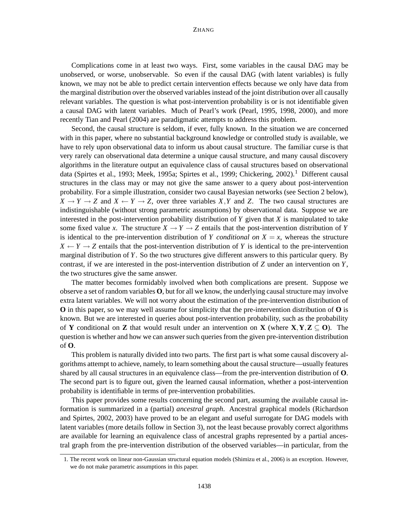Complications come in at least two ways. First, some variables in the causal DAG may be unobserved, or worse, unobservable. So even if the causal DAG (with latent variables) is fully known, we may not be able to predict certain intervention effects because we only have data from the marginal distribution over the observed variables instead of the joint distribution over all causally relevant variables. The question is what post-intervention probability is or is not identifiable given a causal DAG with latent variables. Much of Pearl's work (Pearl, 1995, 1998, 2000), and more recently Tian and Pearl (2004) are paradigmatic attempts to address this problem.

Second, the causal structure is seldom, if ever, fully known. In the situation we are concerned with in this paper, where no substantial background knowledge or controlled study is available, we have to rely upon observational data to inform us about causal structure. The familiar curse is that very rarely can observational data determine a unique causal structure, and many causal discovery algorithms in the literature output an equivalence class of causal structures based on observational data (Spirtes et al., 1993; Meek, 1995a; Spirtes et al., 1999; Chickering, 2002).<sup>1</sup> Different causal structures in the class may or may not give the same answer to a query about post-intervention probability. For a simple illustration, consider two causal Bayesian networks (see Section 2 below),  $X \to Y \to Z$  and  $X \leftarrow Y \to Z$ , over three variables *X*, *Y* and *Z*. The two causal structures are indistinguishable (without strong parametric assumptions) by observational data. Suppose we are interested in the post-intervention probability distribution of *Y* given that *X* is manipulated to take some fixed value *x*. The structure  $X \to Y \to Z$  entails that the post-intervention distribution of *Y* is identical to the pre-intervention distribution of *Y conditional on*  $X = x$ , whereas the structure  $X \leftarrow Y \rightarrow Z$  entails that the post-intervention distribution of *Y* is identical to the pre-intervention marginal distribution of *Y*. So the two structures give different answers to this particular query. By contrast, if we are interested in the post-intervention distribution of *Z* under an intervention on *Y*, the two structures give the same answer.

The matter becomes formidably involved when both complications are present. Suppose we observe a set of random variables **O**, but for all we know, the underlying causal structure may involve extra latent variables. We will not worry about the estimation of the pre-intervention distribution of **O** in this paper, so we may well assume for simplicity that the pre-intervention distribution of **O** is known. But we are interested in queries about post-intervention probability, such as the probability of **Y** conditional on **Z** that would result under an intervention on **X** (where  $X, Y, Z \subseteq O$ ). The question is whether and how we can answersuch queriesfrom the given pre-intervention distribution of **O**.

This problem is naturally divided into two parts. The first part is what some causal discovery algorithms attempt to achieve, namely, to learn something about the causal structure—usually features shared by all causal structures in an equivalence class—from the pre-intervention distribution of **O**. The second part is to figure out, given the learned causal information, whether a post-intervention probability is identifiable in terms of pre-intervention probabilities.

This paper provides some results concerning the second part, assuming the available causal information is summarized in a (partial) *ancestral graph*. Ancestral graphical models (Richardson and Spirtes, 2002, 2003) have proved to be an elegant and useful surrogate for DAG models with latent variables (more details follow in Section 3), not the least because provably correct algorithms are available for learning an equivalence class of ancestral graphs represented by a partial ancestral graph from the pre-intervention distribution of the observed variables—in particular, from the

<sup>1.</sup> The recent work on linear non-Gaussian structural equation models (Shimizu et al., 2006) is an exception. However, we do not make parametric assumptions in this paper.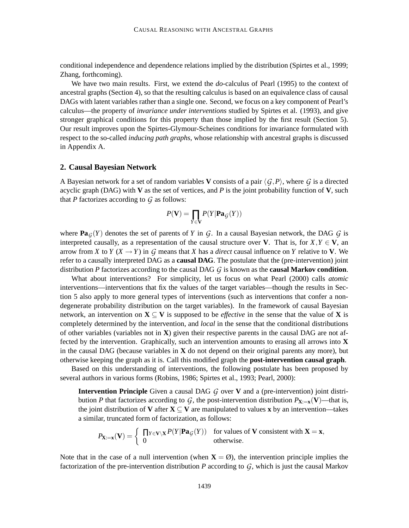conditional independence and dependence relations implied by the distribution (Spirtes et al., 1999; Zhang, forthcoming).

We have two main results. First, we extend the *do*-calculus of Pearl (1995) to the context of ancestral graphs (Section 4), so that the resulting calculus is based on an equivalence class of causal DAGs with latent variables rather than a single one. Second, we focus on a key component of Pearl's calculus—the property of *invariance under interventions* studied by Spirtes et al. (1993), and give stronger graphical conditions for this property than those implied by the first result (Section 5). Our result improves upon the Spirtes-Glymour-Scheines conditions for invariance formulated with respect to the so-called *inducing path graphs*, whose relationship with ancestral graphs is discussed in Appendix A.

### **2. Causal Bayesian Network**

A Bayesian network for a set of random variables **V** consists of a pair  $\langle G, P \rangle$ , where G is a directed acyclic graph (DAG) with **V** as the set of vertices, and  $P$  is the joint probability function of **V**, such that  $P$  factorizes according to  $G$  as follows:

$$
P(\mathbf{V}) = \prod_{Y \in \mathbf{V}} P(Y|\mathbf{Pa}_G(Y))
$$

where  $\textbf{Pa}_G(Y)$  denotes the set of parents of *Y* in *G*. In a causal Bayesian network, the DAG *G* is interpreted causally, as a representation of the causal structure over **V**. That is, for  $X, Y \in V$ , an arrow from *X* to *Y* ( $X \rightarrow Y$ ) in *G* means that *X* has a *direct* causal influence on *Y* relative to **V**. We refer to a causally interpreted DAG as a **causal DAG**. The postulate that the (pre-intervention) joint distribution *P* factorizes according to the causal DAG *G* is known as the **causal Markov condition**.

What about interventions? For simplicity, let us focus on what Pearl (2000) calls *atomic* interventions—interventions that fix the values of the target variables—though the results in Section 5 also apply to more general types of interventions (such as interventions that confer a nondegenerate probability distribution on the target variables). In the framework of causal Bayesian network, an intervention on  $X \subseteq V$  is supposed to be *effective* in the sense that the value of X is completely determined by the intervention, and *local* in the sense that the conditional distributions of other variables (variables not in **X**) given their respective parents in the causal DAG are not affected by the intervention. Graphically, such an intervention amounts to erasing all arrows into **X** in the causal DAG (because variables in **X** do not depend on their original parents any more), but otherwise keeping the graph as it is. Call this modified graph the **post-intervention causal graph**.

Based on this understanding of interventions, the following postulate has been proposed by several authors in various forms (Robins, 1986; Spirtes et al., 1993; Pearl, 2000):

**Intervention Principle** Given a causal DAG *G* over **V** and a (pre-intervention) joint distribution *P* that factorizes according to *G*, the post-intervention distribution  $P_{\mathbf{X}:=\mathbf{x}}(\mathbf{V})$ —that is, the joint distribution of **V** after  $X \subseteq V$  are manipulated to values x by an intervention—takes a similar, truncated form of factorization, as follows:

$$
P_{\mathbf{X}:=\mathbf{x}}(\mathbf{V}) = \begin{cases} \prod_{Y \in \mathbf{V} \setminus \mathbf{X}} P(Y | \mathbf{Pa}_{\mathcal{G}}(Y)) & \text{for values of } \mathbf{V} \text{ consistent with } \mathbf{X} = \mathbf{x}, \\ 0 & \text{otherwise.} \end{cases}
$$

Note that in the case of a null intervention (when  $X = \emptyset$ ), the intervention principle implies the factorization of the pre-intervention distribution *P* according to *G*, which is just the causal Markov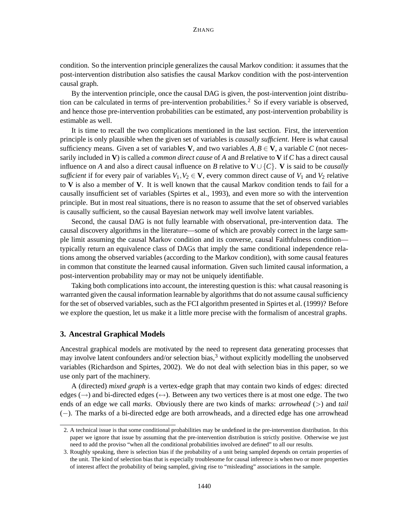condition. So the intervention principle generalizes the causal Markov condition: it assumes that the post-intervention distribution also satisfies the causal Markov condition with the post-intervention causal graph.

By the intervention principle, once the causal DAG is given, the post-intervention joint distribution can be calculated in terms of pre-intervention probabilities.<sup>2</sup> So if every variable is observed, and hence those pre-intervention probabilities can be estimated, any post-intervention probability is estimable as well.

It is time to recall the two complications mentioned in the last section. First, the intervention principle is only plausible when the given set of variables is *causally sufficient*. Here is what causal sufficiency means. Given a set of variables **V**, and two variables  $A, B \in V$ , a variable C (not necessarily included in **V**) is called a *common direct cause* of *A* and *B* relative to **V** if *C* has a direct causal influence on *A* and also a direct causal influence on *B* relative to  $V \cup \{C\}$ . **V** is said to be *causally sufficient* if for every pair of variables  $V_1, V_2 \in V$ , every common direct cause of  $V_1$  and  $V_2$  relative to **V** is also a member of **V**. It is well known that the causal Markov condition tends to fail for a causally insufficient set of variables (Spirtes et al., 1993), and even more so with the intervention principle. But in most real situations, there is no reason to assume that the set of observed variables is causally sufficient, so the causal Bayesian network may well involve latent variables.

Second, the causal DAG is not fully learnable with observational, pre-intervention data. The causal discovery algorithms in the literature—some of which are provably correct in the large sample limit assuming the causal Markov condition and its converse, causal Faithfulness condition typically return an equivalence class of DAGs that imply the same conditional independence relations among the observed variables (according to the Markov condition), with some causal features in common that constitute the learned causal information. Given such limited causal information, a post-intervention probability may or may not be uniquely identifiable.

Taking both complications into account, the interesting question is this: what causal reasoning is warranted given the causal information learnable by algorithms that do not assume causal sufficiency for the set of observed variables, such as the FCI algorithm presented in Spirtes et al. (1999)? Before we explore the question, let us make it a little more precise with the formalism of ancestral graphs.

### **3. Ancestral Graphical Models**

Ancestral graphical models are motivated by the need to represent data generating processes that may involve latent confounders and/or selection bias, $3$  without explicitly modelling the unobserved variables (Richardson and Spirtes, 2002). We do not deal with selection bias in this paper, so we use only part of the machinery.

A (directed) *mixed graph* is a vertex-edge graph that may contain two kinds of edges: directed edges ( $\rightarrow$ ) and bi-directed edges ( $\leftrightarrow$ ). Between any two vertices there is at most one edge. The two ends of an edge we call *marks*. Obviously there are two kinds of marks: *arrowhead* (>) and *tail* (−). The marks of a bi-directed edge are both arrowheads, and a directed edge has one arrowhead

<sup>2.</sup> A technical issue is that some conditional probabilities may be undefined in the pre-intervention distribution. In this paper we ignore that issue by assuming that the pre-intervention distribution is strictly positive. Otherwise we just need to add the proviso "when all the conditional probabilities involved are defined" to all our results.

<sup>3.</sup> Roughly speaking, there is selection bias if the probability of a unit being sampled depends on certain properties of the unit. The kind of selection bias that is especially troublesome for causal inference is when two or more properties of interest affect the probability of being sampled, giving rise to "misleading" associations in the sample.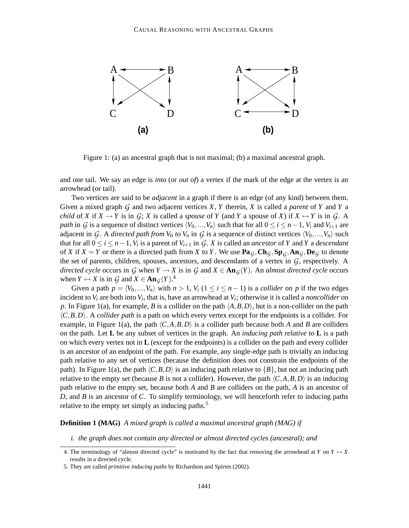

Figure 1: (a) an ancestral graph that is not maximal; (b) a maximal ancestral graph.

and one tail. We say an edge is *into* (or *out of*) a vertex if the mark of the edge at the vertex is an arrowhead (or tail).

Two vertices are said to be *adjacent* in a graph if there is an edge (of any kind) between them. Given a mixed graph *G* and two adjacent vertices *X*, *Y* therein, *X* is called a *parent* of *Y* and *Y* a *child* of *X* if  $X \to Y$  is in  $G$ ; *X* is called a *spouse* of *Y* (and *Y* a spouse of *X*) if  $X \leftrightarrow Y$  is in  $G$ . A *path* in *G* is a sequence of distinct vertices  $\langle V_0, ..., V_n \rangle$  such that for all  $0 \le i \le n-1$ ,  $V_i$  and  $V_{i+1}$  are adjacent in *G*. A *directed path from*  $V_0$  *to*  $V_n$  in *G* is a sequence of distinct vertices  $\langle V_0, ..., V_n \rangle$  such that for all  $0 \le i \le n-1$ ,  $V_i$  is a parent of  $V_{i+1}$  in  $\mathcal{G}$ .  $X$  is called an *ancestor* of  $Y$  and  $Y$  a *descendant* of *X* if  $X = Y$  or there is a directed path from *X* to *Y*. We use  $\textbf{Pa}_G, \textbf{Ch}_G, \textbf{Sp}_G, \textbf{An}_G, \textbf{De}_G$  to denote the set of parents, children, spouses, ancestors, and descendants of a vertex in *G*, respectively. A *directed cycle* occurs in *G* when  $Y \to X$  is in *G* and  $X \in \text{An}_{G}(Y)$ . An *almost* directed *cycle* occurs when  $Y \leftrightarrow X$  is in  $\mathcal{G}$  and  $X \in \mathbf{An}_{\mathcal{G}}(Y).^{4}$ 

Given a path  $p = \langle V_0, ..., V_n \rangle$  with  $n > 1$ ,  $V_i$  ( $1 \le i \le n - 1$ ) is a *collider* on *p* if the two edges incident to  $V_i$  are both into  $V_i$ , that is, have an arrowhead at  $V_i$ ; otherwise it is called a *noncollider* on *p*. In Figure 1(a), for example, *B* is a collider on the path  $\langle A, B, D \rangle$ , but is a non-collider on the path  $\langle C, B, D \rangle$ . A *collider path* is a path on which every vertex except for the endpoints is a collider. For example, in Figure 1(a), the path  $\langle C, A, B, D \rangle$  is a collider path because both *A* and *B* are colliders on the path. Let **L** be any subset of vertices in the graph. An *inducing path relative to* **L** is a path on which every vertex not in **L** (except for the endpoints) is a collider on the path and every collider is an ancestor of an endpoint of the path. For example, any single-edge path is trivially an inducing path relative to any set of vertices (because the definition does not constrain the endpoints of the path). In Figure 1(a), the path  $\langle C, B, D \rangle$  is an inducing path relative to  $\{B\}$ , but not an inducing path relative to the empty set (because *B* is not a collider). However, the path  $\langle C, A, B, D \rangle$  is an inducing path relative to the empty set, because both *A* and *B* are colliders on the path, *A* is an ancestor of *D*, and *B* is an ancestor of *C*. To simplify terminology, we will henceforth refer to inducing paths relative to the empty set simply as inducing paths.<sup>5</sup>

### **Definition 1 (MAG)** *A mixed graph is called a maximal ancestral graph (MAG) if*

*i. the graph does not contain any directed or almost directed cycles (ancestral); and*

<sup>4.</sup> The terminology of "almost directed cycle" is motivated by the fact that removing the arrowhead at *Y* on  $Y \leftrightarrow X$ results in a directed cycle.

<sup>5.</sup> They are called *primitive inducing paths* by Richardson and Spirtes (2002).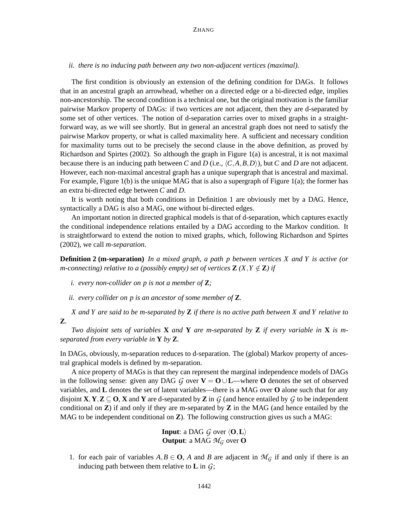*ii. there is no inducing path between any two non-adjacent vertices (maximal).*

The first condition is obviously an extension of the defining condition for DAGs. It follows that in an ancestral graph an arrowhead, whether on a directed edge or a bi-directed edge, implies non-ancestorship. The second condition is a technical one, but the original motivation is the familiar pairwise Markov property of DAGs: if two vertices are not adjacent, then they are d-separated by some set of other vertices. The notion of d-separation carries over to mixed graphs in a straightforward way, as we will see shortly. But in general an ancestral graph does not need to satisfy the pairwise Markov property, or what is called maximality here. A sufficient and necessary condition for maximality turns out to be precisely the second clause in the above definition, as proved by Richardson and Spirtes (2002). So although the graph in Figure 1(a) is ancestral, it is not maximal because there is an inducing path between *C* and *D* (i.e.,  $\langle C, A, B, D \rangle$ ), but *C* and *D* are not adjacent. However, each non-maximal ancestral graph has a unique supergraph that is ancestral and maximal. For example, Figure 1(b) is the unique MAG that is also a supergraph of Figure 1(a); the former has an extra bi-directed edge between *C* and *D*.

It is worth noting that both conditions in Definition 1 are obviously met by a DAG. Hence, syntactically a DAG is also a MAG, one without bi-directed edges.

An important notion in directed graphical models is that of d-separation, which captures exactly the conditional independence relations entailed by a DAG according to the Markov condition. It is straightforward to extend the notion to mixed graphs, which, following Richardson and Spirtes (2002), we call *m-separation*.

**Definition 2 (m-separation)** *In a mixed graph, a path p between vertices X and Y is active (or m*-connecting) relative to a (possibly empty) set of vertices  $\mathbf{Z}(X, Y \notin \mathbf{Z})$  if

*i. every non-collider on p is not a member of* **Z***;*

*ii. every collider on p is an ancestor of some member of* **Z***.*

X and Y are said to be m-separated by  $\mathbb Z$  if there is no active path between X and Y relative to **Z***.*

*Two disjoint sets of variables* **X** *and* **Y** *are m-separated by* **Z** *if every variable in* **X** *is mseparated from every variable in* **Y** *by* **Z***.*

In DAGs, obviously, m-separation reduces to d-separation. The (global) Markov property of ancestral graphical models is defined by m-separation.

A nice property of MAGs is that they can represent the marginal independence models of DAGs in the following sense: given any DAG  $G$  over  $V = O \cup L$ —where O denotes the set of observed variables, and **L** denotes the set of latent variables—there is a MAG over **O** alone such that for any disjoint  $\mathbf{X}, \mathbf{Y}, \mathbf{Z} \subseteq \mathbf{O}, \mathbf{X}$  and  $\mathbf{Y}$  are d-separated by  $\mathbf{Z}$  in  $G$  (and hence entailed by  $G$  to be independent conditional on **Z**) if and only if they are m-separated by **Z** in the MAG (and hence entailed by the MAG to be independent conditional on **Z**). The following construction gives us such a MAG:

> **Input**: a DAG *G* over  $\langle 0, L \rangle$ **Output:** a MAG  $M_G$  over **O**

1. for each pair of variables  $A, B \in \mathbf{O}$ , *A* and *B* are adjacent in  $\mathcal{M}_G$  if and only if there is an inducing path between them relative to **L** in *G*;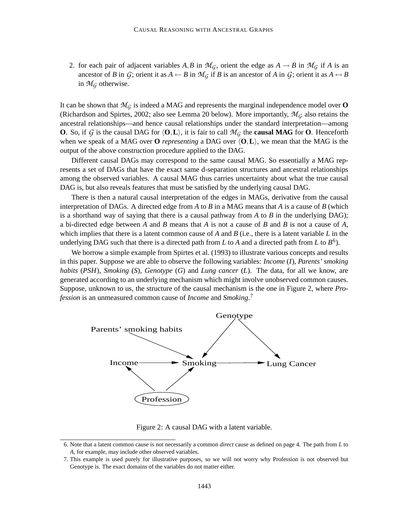2. for each pair of adjacent variables A, B in  $\mathcal{M}_G$ , orient the edge as  $A \rightarrow B$  in  $\mathcal{M}_G$  if A is an ancestor of *B* in *G*; orient it as  $A \leftarrow B$  in  $\mathcal{M}_G$  if *B* is an ancestor of *A* in *G*; orient it as  $A \leftrightarrow B$ in  $\mathcal{M}_G$  otherwise.

It can be shown that  $\mathcal{M}_G$  is indeed a MAG and represents the marginal independence model over **O** (Richardson and Spirtes, 2002; also see Lemma 20 below). More importantly,  $\mathcal{M}_G$  also retains the ancestral relationships—and hence causal relationships under the standard interpretation—among **O**. So, if *G* is the causal DAG for  $\langle 0, L \rangle$ , it is fair to call  $\mathcal{M}_G$  the **causal MAG** for **O**. Henceforth when we speak of a MAG over **O** *representing* a DAG over  $\langle 0, L \rangle$ , we mean that the MAG is the output of the above construction procedure applied to the DAG.

Different causal DAGs may correspond to the same causal MAG. So essentially a MAG represents a set of DAGs that have the exact same d-separation structures and ancestral relationships among the observed variables. A causal MAG thus carries uncertainty about what the true causal DAG is, but also reveals features that must be satisfied by the underlying causal DAG.

There is then a natural causal interpretation of the edges in MAGs, derivative from the causal interpretation of DAGs. A directed edge from *A* to *B* in a MAG means that *A* is a cause of *B* (which is a shorthand way of saying that there is a causal pathway from *A* to *B* in the underlying DAG); a bi-directed edge between *A* and *B* means that *A* is not a cause of *B* and *B* is not a cause of *A*, which implies that there is a latent common cause of *A* and *B* (i.e., there is a latent variable *L* in the underlying DAG such that there is a directed path from *L* to *A* and a directed path from *L* to  $B^6$ ).

We borrow a simple example from Spirtes et al. (1993) to illustrate various concepts and results in this paper. Suppose we are able to observe the following variables: *Income* (*I*), *Parents' smoking habits* (*PSH*), *Smoking* (*S*), *Genotype* (*G*) and *Lung cancer* (*L*). The data, for all we know, are generated according to an underlying mechanism which might involve unobserved common causes. Suppose, unknown to us, the structure of the causal mechanism is the one in Figure 2, where *Profession* is an unmeasured common cause of *Income* and *Smoking*. 7



Figure 2: A causal DAG with a latent variable.

<sup>6.</sup> Note that a latent common cause is not necessarily a common *direct* cause as defined on page 4. The path from *L* to *A*, for example, may include other observed variables.

<sup>7.</sup> This example is used purely for illustrative purposes, so we will not worry why Profession is not observed but Genotype is. The exact domains of the variables do not matter either.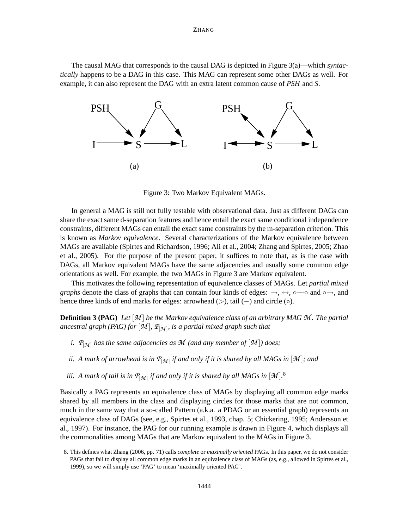The causal MAG that corresponds to the causal DAG is depicted in Figure 3(a)—which *syntactically* happens to be a DAG in this case. This MAG can represent some other DAGs as well. For example, it can also represent the DAG with an extra latent common cause of *PSH* and *S*.



Figure 3: Two Markov Equivalent MAGs.

In general a MAG is still not fully testable with observational data. Just as different DAGs can share the exact same d-separation features and hence entail the exact same conditional independence constraints, different MAGs can entail the exact same constraints by the m-separation criterion. This is known as *Markov equivalence*. Several characterizations of the Markov equivalence between MAGs are available (Spirtes and Richardson, 1996; Ali et al., 2004; Zhang and Spirtes, 2005; Zhao et al., 2005). For the purpose of the present paper, it suffices to note that, as is the case with DAGs, all Markov equivalent MAGs have the same adjacencies and usually some common edge orientations as well. For example, the two MAGs in Figure 3 are Markov equivalent.

This motivates the following representation of equivalence classes of MAGs. Let *partial mixed graphs* denote the class of graphs that can contain four kinds of edges:  $\rightarrow$ ,  $\leftrightarrow$ , ∘— $\circ$  and ∘ $\rightarrow$ , and hence three kinds of end marks for edges: arrowhead (>), tail (−) and circle (⊙).

**Definition 3 (PAG)** *Let* [*M* ] *be the Markov equivalence class of an arbitrary MAG M . The partial ancestral graph (PAG) for* [*M* ]*, P*[*<sup>M</sup>* ] *, is a partial mixed graph such that*

- *i.*  $P_{\lceil M \rceil}$  has the same adjacencies as M (and any member of  $\lceil M \rceil$ ) does;
- ii. A mark of arrowhead is in  $\mathcal{P}_{[\mathcal{M}]}$  if and only if it is shared by all MAGs in  $[\mathcal{M}]$ ; and
- iii. A mark of tail is in  $\mathcal{P}_{[\mathcal{M}]}$  if and only if it is shared by all MAGs in  $[\mathcal{M}]$ .<sup>8</sup>

Basically a PAG represents an equivalence class of MAGs by displaying all common edge marks shared by all members in the class and displaying circles for those marks that are not common, much in the same way that a so-called Pattern (a.k.a. a PDAG or an essential graph) represents an equivalence class of DAGs (see, e.g., Spirtes et al., 1993, chap. 5; Chickering, 1995; Andersson et al., 1997). For instance, the PAG for our running example is drawn in Figure 4, which displays all the commonalities among MAGs that are Markov equivalent to the MAGs in Figure 3.

<sup>8.</sup> This defines what Zhang (2006, pp. 71) calls *complete* or *maximally oriented* PAGs. In this paper, we do not consider PAGs that fail to display all common edge marks in an equivalence class of MAGs (as, e.g., allowed in Spirtes et al., 1999), so we will simply use 'PAG' to mean 'maximally oriented PAG'.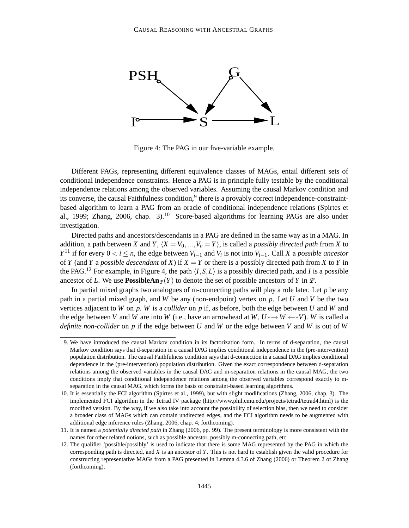

Figure 4: The PAG in our five-variable example.

Different PAGs, representing different equivalence classes of MAGs, entail different sets of conditional independence constraints. Hence a PAG is in principle fully testable by the conditional independence relations among the observed variables. Assuming the causal Markov condition and its converse, the causal Faithfulness condition,<sup>9</sup> there is a provably correct independence-constraintbased algorithm to learn a PAG from an oracle of conditional independence relations (Spirtes et al., 1999; Zhang, 2006, chap. 3).<sup>10</sup> Score-based algorithms for learning PAGs are also under investigation.

Directed paths and ancestors/descendants in a PAG are defined in the same way as in a MAG. In addition, a path between *X* and *Y*,  $\langle X = V_0, ..., V_n = Y \rangle$ , is called a *possibly directed path* from *X* to *Y*<sup>11</sup> if for every 0 < *i* ≤ *n*, the edge between  $V_{i-1}$  and  $V_i$  is not into  $V_{i-1}$ . Call *X* a *possible ancestor* of *Y* (and *Y* a *possible descendant* of *X*) if  $X = Y$  or there is a possibly directed path from *X* to *Y* in the PAG.<sup>12</sup> For example, in Figure 4, the path  $\langle I, S, L \rangle$  is a possibly directed path, and *I* is a possible ancestor of *L*. We use **PossibleAn** $p(Y)$  to denote the set of possible ancestors of *Y* in *P*.

In partial mixed graphs two analogues of m-connecting paths will play a role later. Let *p* be any path in a partial mixed graph, and *W* be any (non-endpoint) vertex on *p*. Let *U* and *V* be the two vertices adjacent to *W* on *p*. *W* is a *collider* on *p* if, as before, both the edge between *U* and *W* and the edge between *V* and *W* are into *W* (i.e., have an arrowhead at  $W, U^* \rightarrow W \rightarrow W$ ). *W* is called a *definite non-collider* on *p* if the edge between *U* and *W* or the edge between *V* and *W* is out of *W*

<sup>9.</sup> We have introduced the causal Markov condition in its factorization form. In terms of d-separation, the causal Markov condition says that d-separation in a causal DAG implies conditional independence in the (pre-intervention) population distribution. The causal Faithfulness condition says that d-connection in a causal DAG implies conditional dependence in the (pre-intervention) population distribution. Given the exact correspondence between d-separation relations among the observed variables in the causal DAG and m-separation relations in the causal MAG, the two conditions imply that conditional independence relations among the observed variables correspond exactly to mseparation in the causal MAG, which forms the basis of constraint-based learning algorithms.

<sup>10.</sup> It is essentially the FCI algorithm (Spirtes et al., 1999), but with slight modifications (Zhang, 2006, chap. 3). The implemented FCI algorithm in the Tetrad IV package (http://www.phil.cmu.edu/projects/tetrad/tetrad4.html) is the modified version. By the way, if we also take into account the possibility of selection bias, then we need to consider a broader class of MAGs which can contain undirected edges, and the FCI algorithm needs to be augmented with additional edge inference rules (Zhang, 2006, chap. 4; forthcoming).

<sup>11.</sup> It is named a *potentially directed path* in Zhang (2006, pp. 99). The present terminology is more consistent with the names for other related notions, such as possible ancestor, possibly m-connecting path, etc.

<sup>12.</sup> The qualifier 'possible/possibly' is used to indicate that there is some MAG represented by the PAG in which the corresponding path is directed, and *X* is an ancestor of *Y*. This is not hard to establish given the valid procedure for constructing representative MAGs from a PAG presented in Lemma 4.3.6 of Zhang (2006) or Theorem 2 of Zhang (forthcoming).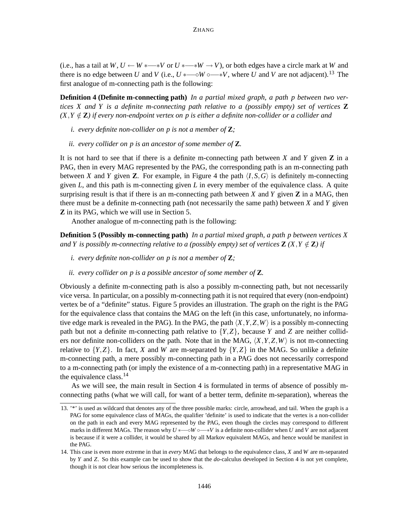(i.e., has a tail at *W*,  $U \leftarrow W \leftarrow V$  or  $U \leftarrow W \leftarrow W \rightarrow V$ ), or both edges have a circle mark at *W* and there is no edge between *U* and *V* (i.e.,  $U * \text{---} ∘ W \circ \text{---} * V$ , where *U* and *V* are not adjacent).<sup>13</sup> The first analogue of m-connecting path is the following:

**Definition 4 (Definite m-connecting path)** *In a partial mixed graph, a path p between two vertices X and Y is a definite m-connecting path relative to a (possibly empty) set of vertices* **Z**  $(X, Y \notin \mathbb{Z})$  if every non-endpoint vertex on p is either a definite non-collider or a collider and

- *i. every definite non-collider on p is not a member of* **Z***;*
- *ii. every collider on p is an ancestor of some member of* **Z***.*

It is not hard to see that if there is a definite m-connecting path between *X* and *Y* given **Z** in a PAG, then in every MAG represented by the PAG, the corresponding path is an m-connecting path between *X* and *Y* given **Z**. For example, in Figure 4 the path  $\langle I, S, G \rangle$  is definitely m-connecting given *L*, and this path is m-connecting given *L* in every member of the equivalence class. A quite surprising result is that if there is an m-connecting path between *X* and *Y* given **Z** in a MAG, then there must be a definite m-connecting path (not necessarily the same path) between *X* and *Y* given **Z** in its PAG, which we will use in Section 5.

Another analogue of m-connecting path is the following:

**Definition 5 (Possibly m-connecting path)** *In a partial mixed graph, a path p between vertices X* and Y is possibly m-connecting relative to a (possibly empty) set of vertices  $\mathbf{Z}(X, Y \notin \mathbf{Z})$  if

- *i. every definite non-collider on p is not a member of* **Z***;*
- *ii. every collider on p is a possible ancestor of some member of* **Z***.*

Obviously a definite m-connecting path is also a possibly m-connecting path, but not necessarily vice versa. In particular, on a possibly m-connecting path it is not required that every (non-endpoint) vertex be of a "definite" status. Figure 5 provides an illustration. The graph on the right is the PAG for the equivalence class that contains the MAG on the left (in this case, unfortunately, no informative edge mark is revealed in the PAG). In the PAG, the path  $\langle X, Y, Z, W \rangle$  is a possibly m-connecting path but not a definite m-connecting path relative to  ${Y,Z}$ , because *Y* and *Z* are neither colliders nor definite non-colliders on the path. Note that in the MAG,  $\langle X, Y, Z, W \rangle$  is not m-connecting relative to  ${Y,Z}$ . In fact, *X* and *W* are m-separated by  ${Y,Z}$  in the MAG. So unlike a definite m-connecting path, a mere possibly m-connecting path in a PAG does not necessarily correspond to a m-connecting path (or imply the existence of a m-connecting path) in a representative MAG in the equivalence class.<sup>14</sup>

As we will see, the main result in Section 4 is formulated in terms of absence of possibly mconnecting paths (what we will call, for want of a better term, definite m-separation), whereas the

<sup>13.</sup> '\*' is used as wildcard that denotes any of the three possible marks: circle, arrowhead, and tail. When the graph is a PAG for some equivalence class of MAGs, the qualifier 'definite' is used to indicate that the vertex is a non-collider on the path in each and every MAG represented by the PAG, even though the circles may correspond to different marks in different MAGs. The reason why  $U *_{--} ∘ W ∘_{++} V$  is a definite non-collider when *U* and *V* are not adjacent is because if it were a collider, it would be shared by all Markov equivalent MAGs, and hence would be manifest in the PAG.

<sup>14.</sup> This case is even more extreme in that in *every* MAG that belongs to the equivalence class, *X* and *W* are m-separated by *Y* and *Z*. So this example can be used to show that the *do*-calculus developed in Section 4 is not yet complete, though it is not clear how serious the incompleteness is.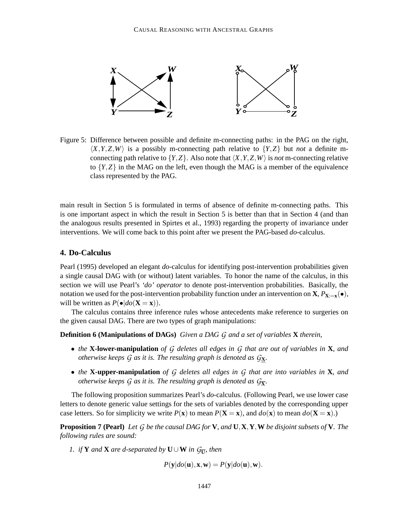

Figure 5: Difference between possible and definite m-connecting paths: in the PAG on the right,  $\langle X, Y, Z, W \rangle$  is a possibly m-connecting path relative to  $\{Y, Z\}$  but *not* a definite mconnecting path relative to  ${Y,Z}$ . Also note that  $\langle X, Y, Z, W \rangle$  is *not* m-connecting relative to  ${Y,Z}$  in the MAG on the left, even though the MAG is a member of the equivalence class represented by the PAG.

main result in Section 5 is formulated in terms of absence of definite m-connecting paths. This is one important aspect in which the result in Section 5 is better than that in Section 4 (and than the analogous results presented in Spirtes et al., 1993) regarding the property of invariance under interventions. We will come back to this point after we present the PAG-based *do*-calculus.

### **4. Do-Calculus**

Pearl (1995) developed an elegant *do*-calculus for identifying post-intervention probabilities given a single causal DAG with (or without) latent variables. To honor the name of the calculus, in this section we will use Pearl's *'do' operator* to denote post-intervention probabilities. Basically, the notation we used for the post-intervention probability function under an intervention on **X**,  $P_{\mathbf{X}:=\mathbf{x}}(\bullet)$ , will be written as  $P(\bullet|do(\mathbf{X}=\mathbf{x}))$ .

The calculus contains three inference rules whose antecedents make reference to surgeries on the given causal DAG. There are two types of graph manipulations:

**Definition 6 (Manipulations of DAGs)** *Given a DAG G and a set of variables* **X** *therein,*

- *the* **X-lower-manipulation** *of G deletes all edges in G that are out of variables in* **X***, and otherwise keeps G as it is. The resulting graph is denoted as G***X***.*
- *the* **X-upper-manipulation** *of G deletes all edges in G that are into variables in* **X***, and otherwise keeps*  $G$  *as it is. The resulting graph is denoted as*  $G_{\overline{\mathbf{X}}}$ *.*

The following proposition summarizes Pearl's *do*-calculus. (Following Pearl, we use lower case letters to denote generic value settings for the sets of variables denoted by the corresponding upper case letters. So for simplicity we write  $P(\mathbf{x})$  to mean  $P(\mathbf{X} = \mathbf{x})$ , and  $do(\mathbf{x})$  to mean  $do(\mathbf{X} = \mathbf{x})$ .)

**Proposition 7 (Pearl)** Let  $G$  be the causal DAG for V, and  $U, X, Y, W$  be disjoint subsets of V. The *following rules are sound:*

*1. if* **Y** *and* **X** *are d-separated by* **U** $\cup$ **W** *in*  $G_{\overline{\mathbf{U}}}$ *, then* 

$$
P(\mathbf{y}|do(\mathbf{u}), \mathbf{x}, \mathbf{w}) = P(\mathbf{y}|do(\mathbf{u}), \mathbf{w}).
$$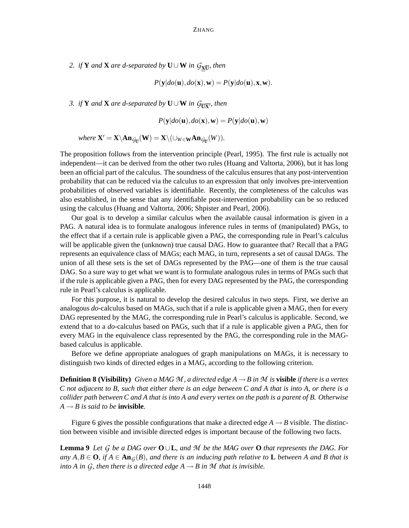2. *if* **Y** *and* **X** *are d-separated by*  $\mathbf{U} \cup \mathbf{W}$  *in*  $G_{\mathbf{X}\overline{\mathbf{U}}}$ *, then* 

$$
P(\mathbf{y}|do(\mathbf{u}), do(\mathbf{x}), \mathbf{w}) = P(\mathbf{y}|do(\mathbf{u}), \mathbf{x}, \mathbf{w}).
$$

*3. if* **Y** *and* **X** *are d-separated by* **U**∪**W** *in*  $G_{\overline{\text{U}}\overline{\text{X}}}$ *, then* 

$$
P(\mathbf{y}|do(\mathbf{u}), do(\mathbf{x}), \mathbf{w}) = P(\mathbf{y}|do(\mathbf{u}), \mathbf{w})
$$

$$
\text{ where } \mathbf{X}'=\mathbf{X}\backslash \mathbf{An}_{\mathcal{G}_{\overline{\mathbf{U}}}}(\mathbf{W})=\mathbf{X}\backslash (\cup_{W\in \mathbf{W}}\mathbf{An}_{\mathcal{G}_{\overline{\mathbf{U}}}}(W)).
$$

The proposition follows from the intervention principle (Pearl, 1995). The first rule is actually not independent—it can be derived from the other two rules (Huang and Valtorta, 2006), but it has long been an official part of the calculus. The soundness of the calculus ensures that any post-intervention probability that can be reduced via the calculus to an expression that only involves pre-intervention probabilities of observed variables is identifiable. Recently, the completeness of the calculus was also established, in the sense that any identifiable post-intervention probability can be so reduced using the calculus (Huang and Valtorta, 2006; Shpister and Pearl, 2006).

Our goal is to develop a similar calculus when the available causal information is given in a PAG. A natural idea is to formulate analogous inference rules in terms of (manipulated) PAGs, to the effect that if a certain rule is applicable given a PAG, the corresponding rule in Pearl's calculus will be applicable given the (unknown) true causal DAG. How to guarantee that? Recall that a PAG represents an equivalence class of MAGs; each MAG, in turn, represents a set of causal DAGs. The union of all these sets is the set of DAGs represented by the PAG—one of them is the true causal DAG. So a sure way to get what we want is to formulate analogous rules in terms of PAGs such that if the rule is applicable given a PAG, then for every DAG represented by the PAG, the corresponding rule in Pearl's calculus is applicable.

For this purpose, it is natural to develop the desired calculus in two steps. First, we derive an analogous *do*-calculus based on MAGs, such that if a rule is applicable given a MAG, then for every DAG represented by the MAG, the corresponding rule in Pearl's calculus is applicable. Second, we extend that to a *do*-calculus based on PAGs, such that if a rule is applicable given a PAG, then for every MAG in the equivalence class represented by the PAG, the corresponding rule in the MAGbased calculus is applicable.

Before we define appropriate analogues of graph manipulations on MAGs, it is necessary to distinguish two kinds of directed edges in a MAG, according to the following criterion.

**Definition 8 (Visibility)** Given a MAG M, a directed edge  $A \rightarrow B$  in M is **visible** if there is a vertex C not adjacent to B, such that either there is an edge between C and A that is into A, or there is a collider path between  $C$  and A that is into A and every vertex on the path is a parent of B. Otherwise  $A \rightarrow B$  *is said to be invisible.* 

Figure 6 gives the possible configurations that make a directed edge  $A \rightarrow B$  visible. The distinction between visible and invisible directed edges is important because of the following two facts.

**Lemma 9** Let G be a DAG over  $O \cup L$ , and M be the MAG over O that represents the DAG. For any  $A, B \in \mathbf{O}$ , if  $A \in \text{An}_{G}(B)$ , and there is an inducing path relative to L between A and B that is *into A in G*, *then there is a directed edge*  $A \rightarrow B$  *in M that is invisible.*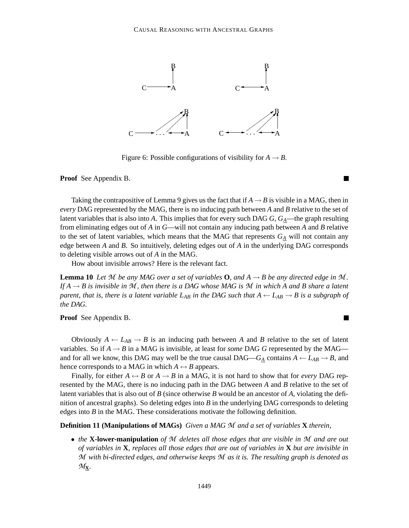

Figure 6: Possible configurations of visibility for  $A \rightarrow B$ .

**Proof** See Appendix B.

Taking the contrapositive of Lemma 9 gives us the fact that if  $A \rightarrow B$  is visible in a MAG, then in *every* DAG represented by the MAG, there is no inducing path between *A* and *B* relative to the set of latent variables that is also into *A*. This implies that for every such DAG *G*, *GA*—the graph resulting from eliminating edges out of *A* in *G*—will not contain any inducing path between *A* and *B* relative to the set of latent variables, which means that the MAG that represents  $G_{\underline{A}}$  will not contain any edge between *A* and *B*. So intuitively, deleting edges out of *A* in the underlying DAG corresponds to deleting visible arrows out of *A* in the MAG.

How about invisible arrows? Here is the relevant fact.

**Lemma 10** Let M be any MAG over a set of variables **O**, and  $A \rightarrow B$  be any directed edge in M. If  $A \rightarrow B$  is invisible in M, then there is a DAG whose MAG is M in which A and B share a latent parent, that is, there is a latent variable  $L_{AB}$  in the DAG such that  $A \leftarrow L_{AB} \rightarrow B$  is a subgraph of *the DAG.*

П

**Proof** See Appendix B.

Obviously  $A \leftarrow L_{AB} \rightarrow B$  is an inducing path between A and B relative to the set of latent variables. So if  $A \rightarrow B$  in a MAG is invisible, at least for *some* DAG G represented by the MAG and for all we know, this DAG may well be the true causal DAG— $G_A$  contains  $A \leftarrow L_{AB} \rightarrow B$ , and hence corresponds to a MAG in which  $A \leftrightarrow B$  appears.

Finally, for either  $A \leftrightarrow B$  or  $A \to B$  in a MAG, it is not hard to show that for *every* DAG represented by the MAG, there is no inducing path in the DAG between *A* and *B* relative to the set of latent variables that is also out of *B* (since otherwise *B* would be an ancestor of *A*, violating the definition of ancestral graphs). So deleting edges into *B* in the underlying DAG corresponds to deleting edges into *B* in the MAG. These considerations motivate the following definition.

**Definition 11 (Manipulations of MAGs)** *Given a MAG M and a set of variables* **X** *therein,*

• *the* **X-lower-manipulation** *of M deletes all those edges that are visible in M and are out* of variables in  $X$ , replaces all those edges that are out of variables in  $X$  but are invisible in *M with bi-directed edges, and otherwise keeps M as it is. The resulting graph is denoted as M***X***.*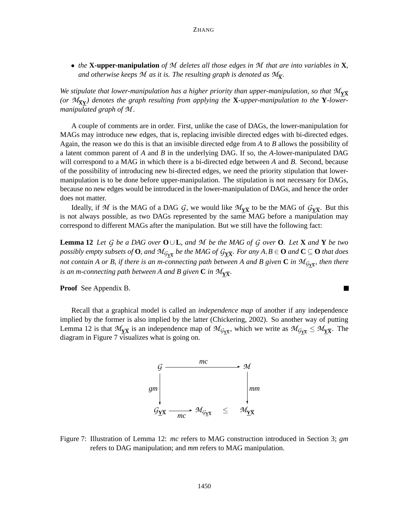• *the* **X-upper-manipulation** *of M deletes all those edges in M that are into variables in* **X***,* and otherwise keeps  $\mathcal M$  as it is. The resulting graph is denoted as  $\mathcal M_{\overline{\mathbf X}}$ .

*We stipulate that lower-manipulation has a higher priority than upper-manipulation, so that*  $M_{Y\overline{X}}$ *(or M***XY** *) denotes the graph resulting from applying the* **X***-upper-manipulation to the* **Y***-lowermanipulated graph of M .*

A couple of comments are in order. First, unlike the case of DAGs, the lower-manipulation for MAGs may introduce new edges, that is, replacing invisible directed edges with bi-directed edges. Again, the reason we do this is that an invisible directed edge from *A* to *B* allows the possibility of a latent common parent of *A* and *B* in the underlying DAG. If so, the *A*-lower-manipulated DAG will correspond to a MAG in which there is a bi-directed edge between *A* and *B*. Second, because of the possibility of introducing new bi-directed edges, we need the priority stipulation that lowermanipulation is to be done before upper-manipulation. The stipulation is not necessary for DAGs, because no new edges would be introduced in the lower-manipulation of DAGs, and hence the order does not matter.

Ideally, if M is the MAG of a DAG G, we would like  $\mathcal{M}_{\underline{Y\overline{X}}}$  to be the MAG of  $\mathcal{G}_{\underline{Y\overline{X}}}$ . But this is not always possible, as two DAGs represented by the same MAG before a manipulation may correspond to different MAGs after the manipulation. But we still have the following fact:

**Lemma 12** Let G be a DAG over  $O \cup L$ , and M be the MAG of G over **O**. Let **X** and **Y** be two possibly empty subsets of  $O$ , and  $\mathcal{M}_{\mathcal{G}_{\underline{Y}\overline{X}}}$  be the MAG of  $\mathcal{G}_{\underline{Y}\overline{X}}.$  For any  $A,B\in O$  and  $\mathbf{C}\subseteq O$  that does not contain A or B, if there is an m-connecting path between A and B given  $\bf C$  in  $\mathcal{M}_{G_{\bf Y\overline X}},$  then there is an m-connecting path between A and B given  $\mathbf C$  in  $\mathcal{M}_{\underline{\mathbf Y \overline{\mathbf X}}}$ .

 $\blacksquare$ 

**Proof** See Appendix B.

Recall that a graphical model is called an *independence map* of another if any independence implied by the former is also implied by the latter (Chickering, 2002). So another way of putting Lemma 12 is that  $M_{\underline{Y\overline{X}}}$  is an independence map of  $M_{G_{\underline{Y\overline{X}}}}$ , which we write as  $M_{G_{\underline{Y\overline{X}}}} \leq M_{\underline{Y\overline{X}}}$ . The diagram in Figure 7 visualizes what is going on.



Figure 7: Illustration of Lemma 12: *mc* refers to MAG construction introduced in Section 3; *gm* refers to DAG manipulation; and *mm* refers to MAG manipulation.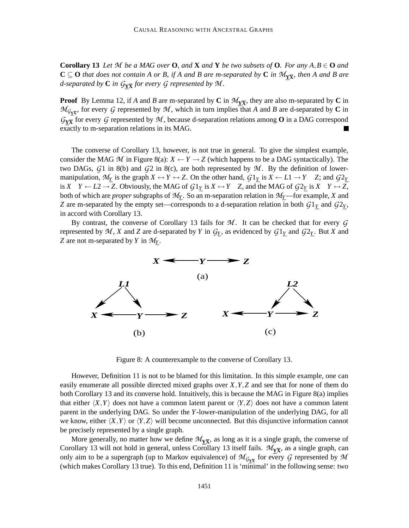**Corollary 13** Let M be a MAG over **O**, and **X** and **Y** be two subsets of **O**. For any  $A, B \in \mathbf{O}$  and  $C \subseteq O$  that does not contain A or B, if A and B are m-separated by C in  $\mathcal{M}_{\underline{Y\overline{X}}}$ , then A and B are d-separated by  $\mathbf C$  in  $\mathcal G_{\underline Y\overline X}$  for every  $\mathcal G$  represented by  $\mathcal M.$ 

**Proof** By Lemma 12, if *A* and *B* are m-separated by **C** in  $\mathcal{M}_{\overline{X}}$ , they are also m-separated by **C** in  $M_{G_{\text{Y}}\bar{\text{x}}}$ , for every *G* represented by *M*, which in turn implies that *A* and *B* are d-separated by **C** in  $G_{\text{YX}}$  for every *G* represented by *M*, because d-separation relations among **O** in a DAG correspond exactly to m-separation relations in its MAG.

The converse of Corollary 13, however, is not true in general. To give the simplest example, consider the MAG  $M$  in Figure 8(a):  $X \leftarrow Y \rightarrow Z$  (which happens to be a DAG syntactically). The two DAGs,  $G1$  in 8(b) and  $G2$  in 8(c), are both represented by  $M$ . By the definition of lowermanipulation,  $M_Y$  is the graph  $X \leftrightarrow Y \leftrightarrow Z$ . On the other hand,  $G1_Y$  is  $X \leftarrow L1 \rightarrow Y$  *Z*; and  $G2_Y$ is *X*  $Y \leftarrow L2 \rightarrow Z$ . Obviously, the MAG of  $G1_Y$  is  $X \leftrightarrow Y$   $Z$ , and the MAG of  $G2_Y$  is  $X \rightarrow Y \leftrightarrow Z$ , both of which are *proper* subgraphs of *M<sup>Y</sup>* . So an m-separation relation in *MY*—for example, *X* and *Z* are m-separated by the empty set—corresponds to a d-separation relation in both  $G1<sub>Y</sub>$  and  $G2<sub>Y</sub>$ , in accord with Corollary 13.

By contrast, the converse of Corollary 13 fails for *M*. It can be checked that for every *G* represented by  $M$ ,  $X$  and  $Z$  are d-separated by  $Y$  in  $G_Y$ , as evidenced by  $G1_Y$  and  $G2_Y$ . But  $X$  and *Z* are not m-separated by *Y* in *M<sup>Y</sup>* .



Figure 8: A counterexample to the converse of Corollary 13.

However, Definition 11 is not to be blamed for this limitation. In this simple example, one can easily enumerate all possible directed mixed graphs over *X*,*Y*,*Z* and see that for none of them do both Corollary 13 and its converse hold. Intuitively, this is because the MAG in Figure 8(a) implies that either  $\langle X, Y \rangle$  does not have a common latent parent or  $\langle Y, Z \rangle$  does not have a common latent parent in the underlying DAG. So under the *Y*-lower-manipulation of the underlying DAG, for all we know, either  $\langle X, Y \rangle$  or  $\langle Y, Z \rangle$  will become unconnected. But this disjunctive information cannot be precisely represented by a single graph.

More generally, no matter how we define  $\mathcal{M}_{\mathbf{X}}$ , as long as it is a single graph, the converse of Corollary 13 will not hold in general, unless Corollary 13 itself fails.  $\mathcal{M}_{\Sigma}$ , as a single graph, can only aim to be a supergraph (up to Markov equivalence) of  $\mathcal{M}_{\mathcal{G}_{\mathbf{X}\overline{\mathbf{X}}}}$  for every  $\mathcal G$  represented by  $\mathcal M$ (which makes Corollary 13 true). To this end, Definition 11 is 'minimal' in the following sense: two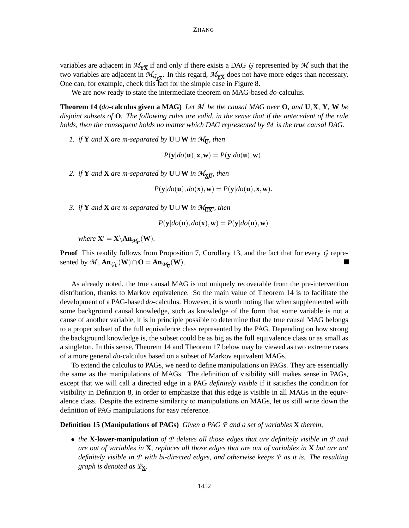variables are adjacent in  $\mathcal{M}_{\text{Y}\overline{\text{X}}}$  if and only if there exists a DAG  $\mathcal G$  represented by  $\mathcal M$  such that the two variables are adjacent in  $\mathcal{M}_{\mathcal{G}_{\mathbf{X}}\overline{\mathbf{X}}}$ . In this regard,  $\mathcal{M}_{\mathbf{X}}\overline{\mathbf{X}}$  does not have more edges than necessary. One can, for example, check this fact for the simple case in Figure 8.

We are now ready to state the intermediate theorem on MAG-based *do*-calculus.

**Theorem 14 (do-calculus given a MAG)** Let M be the causal MAG over  $\bf{O}$ , and  $\bf{U}, \bf{X}, \bf{Y}, \bf{W}$  be disjoint subsets of  $\mathbf{O}$ . The following rules are valid, in the sense that if the antecedent of the rule *holds, then the consequent holds no matter which DAG represented by M is the true causal DAG.*

*1. if*  $Y$  *and*  $X$  *are m-separated by*  $U \cup W$  *in*  $M_{\overline{U}}$ *, then* 

$$
P(\mathbf{y}|do(\mathbf{u}), \mathbf{x}, \mathbf{w}) = P(\mathbf{y}|do(\mathbf{u}), \mathbf{w}).
$$

2. *if*  $Y$  *and*  $X$  *are m-separated by*  $U \cup W$  *in*  $M_{\underline{X}\overline{U}}$ *, then* 

$$
P(\mathbf{y}|do(\mathbf{u}), do(\mathbf{x}), \mathbf{w}) = P(\mathbf{y}|do(\mathbf{u}), \mathbf{x}, \mathbf{w}).
$$

*3. if* **Y** *and* **X** *are m-separated by* **U** $\cup$ **W** *in*  $\mathcal{M}_{\overline{UX'}}$ *, then* 

$$
P(\mathbf{y}|do(\mathbf{u}), do(\mathbf{x}), \mathbf{w}) = P(\mathbf{y}|do(\mathbf{u}), \mathbf{w})
$$

 $where \mathbf{X}' = \mathbf{X} \setminus \mathbf{An}_{\mathcal{M}_{\overline{\mathbf{U}}}}(\mathbf{W}).$ 

**Proof** This readily follows from Proposition 7, Corollary 13, and the fact that for every *G* represented by  $\mathcal{M}$ ,  $\mathbf{An}_{\mathcal{G}_{\overline{\mathbf{U}}}}(\mathbf{W}) \cap \mathbf{O} = \mathbf{An}_{\mathcal{M}_{\overline{\mathbf{U}}}}(\mathbf{W})$ .

As already noted, the true causal MAG is not uniquely recoverable from the pre-intervention distribution, thanks to Markov equivalence. So the main value of Theorem 14 is to facilitate the development of a PAG-based *do*-calculus. However, it is worth noting that when supplemented with some background causal knowledge, such as knowledge of the form that some variable is not a cause of another variable, it is in principle possible to determine that the true causal MAG belongs to a proper subset of the full equivalence class represented by the PAG. Depending on how strong the background knowledge is, the subset could be as big as the full equivalence class or as small as a singleton. In this sense, Theorem 14 and Theorem 17 below may be viewed as two extreme cases of a more general *do*-calculus based on a subset of Markov equivalent MAGs.

To extend the calculus to PAGs, we need to define manipulations on PAGs. They are essentially the same as the manipulations of MAGs. The definition of visibility still makes sense in PAGs, except that we will call a directed edge in a PAG *definitely visible* if it satisfies the condition for visibility in Definition 8, in order to emphasize that this edge is visible in all MAGs in the equivalence class. Despite the extreme similarity to manipulations on MAGs, let us still write down the definition of PAG manipulations for easy reference.

**Definition 15 (Manipulations of PAGs)** *Given a PAG P and a set of variables* **X** *therein,*

• *the* **X-lower-manipulation** *of P deletes all those edges that are definitely visible in P and* are out of variables in  $X$ , replaces all those edges that are out of variables in  $X$  but are not *definitely visible in P with bi-directed edges, and otherwise keeps P as it is. The resulting graph is denoted as P***X***.*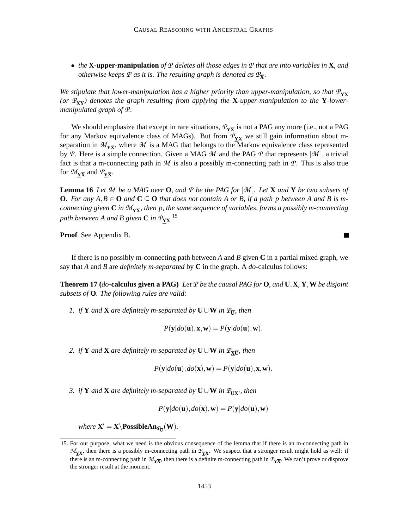• *the* **X-upper-manipulation** *of P deletes all those edges in P that are into variables in* **X***, and otherwise keeps*  $P$  *as it is. The resulting graph is denoted as*  $\mathcal{P}_{\overline{\mathbf{X}}}$ *.* 

*We stipulate that lower-manipulation has a higher priority than upper-manipulation, so that*  $P_{Y\overline{X}}$ *(or*  $\mathcal{P}_{\overline{\mathbf{X}}\mathbf{Y}}$ ) *denotes the graph resulting from applying the*  $\mathbf{X}$ *-upper-manipulation to the*  $\mathbf{Y}$ *-lowermanipulated graph of P.*

We should emphasize that except in rare situations,  $\mathcal{P}_{\underline{Y}\overline{X}}$  is not a PAG any more (i.e., not a PAG for any Markov equivalence class of MAGs). But from  $\mathcal{P}_{Y\overline{X}}$  we still gain information about mseparation in  $\mathcal{M}_{\text{Y}\overline{\text{X}}}$ , where  $\mathcal M$  is a MAG that belongs to the Markov equivalence class represented by *P*. Here is a simple connection. Given a MAG *M* and the PAG *P* that represents  $[\mathcal{M}]$ , a trivial fact is that a m-connecting path in *M* is also a possibly m-connecting path in *P*. This is also true for  $\mathcal{M}_{\underline{Y\overline{X}}}$  and  $\mathcal{P}_{\underline{Y\overline{X}}}$ .

**Lemma 16** Let M be a MAG over **O**, and P be the PAG for  $[M]$ . Let **X** and **Y** be two subsets of **O.** For any  $A, B \in \mathbf{O}$  and  $\mathbf{C} \subseteq \mathbf{O}$  that does not contain A or B, if a path p between A and B is m*connecting given*  $C$  *in*  $\mathcal{M}_{\Sigma \overline{\Sigma}}$ *, then p, the same sequence of variables, forms a possibly m-connecting* path between A and B given  $\bf C$  in  $\rm \mathit{\mathcal{P}_{Y\overline{X}}}.^{15}$ 

**Proof** See Appendix B.

If there is no possibly m-connecting path between *A* and *B* given **C** in a partial mixed graph, we say that *A* and *B* are *definitely m-separated* by **C** in the graph. A *do*-calculus follows:

**Theorem 17 (do-calculus given a PAG)** Let  $\mathcal P$  be the causal PAG for **O**, and **U**, **X**, **Y**, **W** be disjoint *subsets of* **O***. The following rules are valid:*

*1. if* **Y** *and* **X** *are definitely m-separated by*  $\mathbf{U} \cup \mathbf{W}$  *in*  $\mathcal{P}_{\overline{\mathbf{U}}}$ *, then* 

$$
P(\mathbf{y}|do(\mathbf{u}), \mathbf{x}, \mathbf{w}) = P(\mathbf{y}|do(\mathbf{u}), \mathbf{w}).
$$

2. *if* **Y** and **X** are definitely m-separated by  $\mathbf{U} \cup \mathbf{W}$  in  $\mathcal{P}_{\mathbf{X}\overline{\mathbf{U}}}$ , then

$$
P(\mathbf{y}|do(\mathbf{u}), do(\mathbf{x}), \mathbf{w}) = P(\mathbf{y}|do(\mathbf{u}), \mathbf{x}, \mathbf{w}).
$$

*3. if* **Y** *and* **X** *are definitely m-separated <i>by* **U**∪**W** *in*  $P_{\overline{UX}}$ *, then* 

$$
P(\mathbf{y}|do(\mathbf{u}), do(\mathbf{x}), \mathbf{w}) = P(\mathbf{y}|do(\mathbf{u}), \mathbf{w})
$$

 $where \mathbf{X}' = \mathbf{X} \setminus \mathbf{PossibleAn}_{\mathcal{P}_{\mathbf{U}}}(\mathbf{W})$ .

 $\blacksquare$ 

<sup>15.</sup> For our purpose, what we need is the obvious consequence of the lemma that if there is an m-connecting path in  $M_{\overline{X}}$ , then there is a possibly m-connecting path in  $P_{\overline{X}}$ . We suspect that a stronger result might hold as well: if there is an m-connecting path in  $\mathcal{M}_{\overline{X}}$ , then there is a definite m-connecting path in  $\mathcal{P}_{\overline{X}}$ . We can't prove or disprove the stronger result at the moment.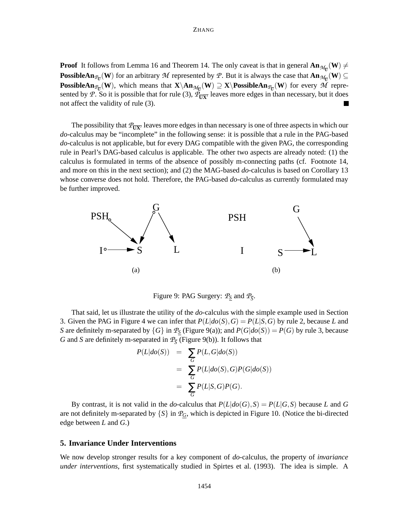**Proof** It follows from Lemma 16 and Theorem 14. The only caveat is that in general  $\text{An}_{\mathcal{M}_{\overline{U}}}(\mathbf{W}) \neq$ **PossibleAn**<sub>*P*</sub><sup> $_{\text{U}}$ </sub> (**W**) for an arbitrary *M* represented by *P*. But it is always the case that  $\text{An}_{\mathcal{M}_{\overline{U}}}$  (**W**)  $\subseteq$ </sup> **PossibleAn**<sub>*P*U</sub></sub>(**W**), which means that  $X\An_{\mathcal{M}_{U}}(W) \supseteq X\P$  **Ex** (*W*) for every *M* represented by *P*. So it is possible that for rule (3),  $\Phi_{\overline{UX}}$  leaves more edges in than necessary, but it does not affect the validity of rule (3).

The possibility that  $P_{\overline{I}|\overline{X}}$  leaves more edges in than necessary is one of three aspects in which our *do*-calculus may be "incomplete" in the following sense: it is possible that a rule in the PAG-based *do*-calculus is not applicable, but for every DAG compatible with the given PAG, the corresponding rule in Pearl's DAG-based calculus is applicable. The other two aspects are already noted: (1) the calculus is formulated in terms of the absence of possibly m-connecting paths (cf. Footnote 14, and more on this in the next section); and (2) the MAG-based *do*-calculus is based on Corollary 13 whose converse does not hold. Therefore, the PAG-based *do*-calculus as currently formulated may be further improved.



Figure 9: PAG Surgery:  $P_{\underline{S}}$  and  $P_{\overline{S}}$ .

That said, let us illustrate the utility of the *do*-calculus with the simple example used in Section 3. Given the PAG in Figure 4 we can infer that  $P(L|do(S), G) = P(L|S, G)$  by rule 2, because *L* and *S* are definitely m-separated by  $\{G\}$  in  $\mathcal{P}_S$  (Figure 9(a)); and  $P(G|do(S)) = P(G)$  by rule 3, because *G* and *S* are definitely m-separated in  $\mathcal{P}_{\overline{S}}$  (Figure 9(b)). It follows that

$$
P(L|do(S)) = \sum_{G} P(L, G|do(S))
$$
  
= 
$$
\sum_{G} P(L|do(S), G)P(G|do(S))
$$
  
= 
$$
\sum_{G} P(L|S, G)P(G).
$$

By contrast, it is not valid in the *do*-calculus that  $P(L|do(G), S) = P(L|G, S)$  because *L* and *G* are not definitely m-separated by  $\{S\}$  in  $\mathcal{P}_G$ , which is depicted in Figure 10. (Notice the bi-directed edge between *L* and *G*.)

### **5. Invariance Under Interventions**

We now develop stronger results for a key component of *do*-calculus, the property of *invariance under interventions*, first systematically studied in Spirtes et al. (1993). The idea is simple. A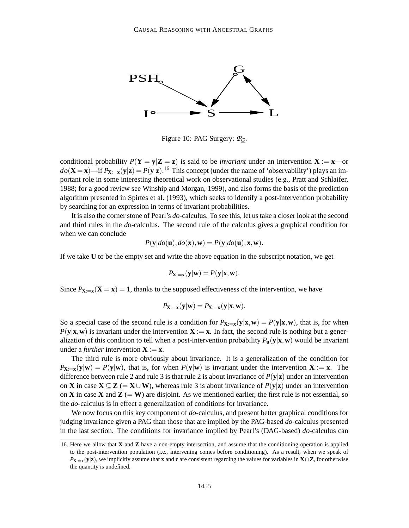

Figure 10: PAG Surgery: *PG*.

conditional probability  $P(Y = y|Z = z)$  is said to be *invariant* under an intervention  $X := x$ —or  $do(\mathbf{X} = \mathbf{x})$ —if  $P_{\mathbf{X}:=\mathbf{x}}(\mathbf{y}|\mathbf{z}) = P(\mathbf{y}|\mathbf{z})$ .<sup>16</sup> This concept (under the name of 'observability') plays an important role in some interesting theoretical work on observational studies (e.g., Pratt and Schlaifer, 1988; for a good review see Winship and Morgan, 1999), and also forms the basis of the prediction algorithm presented in Spirtes et al. (1993), which seeks to identify a post-intervention probability by searching for an expression in terms of invariant probabilities.

It is also the cornerstone of Pearl's *do*-calculus. To see this, let ustake a closer look at the second and third rules in the *do*-calculus. The second rule of the calculus gives a graphical condition for when we can conclude

$$
P(\mathbf{y}|do(\mathbf{u}), do(\mathbf{x}), \mathbf{w}) = P(\mathbf{y}|do(\mathbf{u}), \mathbf{x}, \mathbf{w}).
$$

If we take **U** to be the empty set and write the above equation in the subscript notation, we get

$$
P_{\mathbf{X}:=\mathbf{x}}(\mathbf{y}|\mathbf{w})=P(\mathbf{y}|\mathbf{x},\mathbf{w}).
$$

Since  $P_{\mathbf{X}:=\mathbf{x}}(\mathbf{X}=\mathbf{x})=1$ , thanks to the supposed effectiveness of the intervention, we have

$$
P_{\mathbf{X}:=\mathbf{x}}(\mathbf{y}|\mathbf{w})=P_{\mathbf{X}:=\mathbf{x}}(\mathbf{y}|\mathbf{x},\mathbf{w}).
$$

So a special case of the second rule is a condition for  $P_{\mathbf{X}:=\mathbf{x}}(\mathbf{y}|\mathbf{x},\mathbf{w}) = P(\mathbf{y}|\mathbf{x},\mathbf{w})$ , that is, for when  $P(y|\mathbf{x}, \mathbf{w})$  is invariant under the intervention  $\mathbf{X} := \mathbf{x}$ . In fact, the second rule is nothing but a generalization of this condition to tell when a post-intervention probability  $P_u(y|x, w)$  would be invariant under a *further* intervention  $X := x$ .

The third rule is more obviously about invariance. It is a generalization of the condition for  $P_{\mathbf{X}:=\mathbf{x}}(\mathbf{y}|\mathbf{w}) = P(\mathbf{y}|\mathbf{w})$ , that is, for when  $P(\mathbf{y}|\mathbf{w})$  is invariant under the intervention  $\mathbf{X}:=\mathbf{x}$ . The difference between rule 2 and rule 3 is that rule 2 is about invariance of  $P(y|z)$  under an intervention on **X** in case  $X \subseteq Z$  (=  $X \cup W$ ), whereas rule 3 is about invariance of  $P(y|z)$  under an intervention on **X** in case **X** and **Z** (= **W**) are disjoint. As we mentioned earlier, the first rule is not essential, so the *do*-calculus is in effect a generalization of conditions for invariance.

We now focus on this key component of *do*-calculus, and present better graphical conditions for judging invariance given a PAG than those that are implied by the PAG-based *do*-calculus presented in the last section. The conditions for invariance implied by Pearl's (DAG-based) *do*-calculus can

<sup>16.</sup> Here we allow that **X** and **Z** have a non-empty intersection, and assume that the conditioning operation is applied to the post-intervention population (i.e., intervening comes before conditioning). As a result, when we speak of *P***X**:=**x**(**y**|**z**), we implicitly assume that **x** and **z** are consistent regarding the values for variables in **X**∩**Z**, for otherwise the quantity is undefined.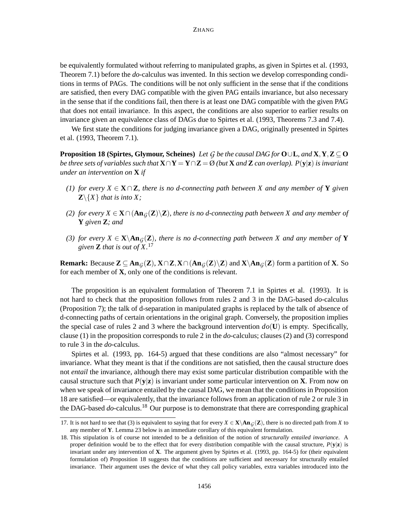be equivalently formulated without referring to manipulated graphs, as given in Spirtes et al. (1993, Theorem 7.1) before the *do*-calculus was invented. In this section we develop corresponding conditions in terms of PAGs. The conditions will be not only sufficient in the sense that if the conditions are satisfied, then every DAG compatible with the given PAG entails invariance, but also necessary in the sense that if the conditions fail, then there is at least one DAG compatible with the given PAG that does not entail invariance. In this aspect, the conditions are also superior to earlier results on invariance given an equivalence class of DAGs due to Spirtes et al. (1993, Theorems 7.3 and 7.4).

We first state the conditions for judging invariance given a DAG, originally presented in Spirtes et al. (1993, Theorem 7.1).

**Proposition 18 (Spirtes, Glymour, Scheines)** Let G be the causal DAG for  $O \cup L$ , and  $X, Y, Z \subseteq O$ be three sets of variables such that  $\mathbf{X} \cap \mathbf{Y} = \mathbf{Y} \cap \mathbf{Z} = \emptyset$  (but  $\mathbf{X}$  and  $\mathbf{Z}$  can overlap).  $P(\mathbf{y}|\mathbf{z})$  is invariant *under an intervention on* **X** *if*

- (1) for every  $X \in \mathbf{X} \cap \mathbf{Z}$ , there is no d-connecting path between X and any member of Y given  $\mathbf{Z}\setminus\{X\}$  *that is into*  $X$ ;
- (2) for every  $X \in X \cap (An_G(Z) \setminus Z)$ , there is no d-connecting path between X and any member of **Y** *given* **Z***; and*
- (3) for every  $X \in \mathbf{X} \setminus \text{An}_{G}(\mathbf{Z})$ , there is no d-connecting path between X and any member of Y *given* **Z** *that is out of X.* 17

**Remark:** Because  $\mathbf{Z} \subseteq \textbf{An}_{G}(\mathbf{Z}), \mathbf{X} \cap \mathbf{Z}, \mathbf{X} \cap (\textbf{An}_{G}(\mathbf{Z}) \setminus \mathbf{Z})$  and  $\mathbf{X} \setminus \textbf{An}_{G}(\mathbf{Z})$  form a partition of **X**. So for each member of **X**, only one of the conditions is relevant.

The proposition is an equivalent formulation of Theorem 7.1 in Spirtes et al. (1993). It is not hard to check that the proposition follows from rules 2 and 3 in the DAG-based *do*-calculus (Proposition 7); the talk of d-separation in manipulated graphs is replaced by the talk of absence of d-connecting paths of certain orientations in the original graph. Conversely, the proposition implies the special case of rules 2 and 3 where the background intervention  $do(U)$  is empty. Specifically, clause (1) in the proposition corresponds to rule 2 in the *do*-calculus; clauses (2) and (3) correspond to rule 3 in the *do*-calculus.

Spirtes et al. (1993, pp. 164-5) argued that these conditions are also "almost necessary" for invariance. What they meant is that if the conditions are not satisfied, then the causal structure does not *entail* the invariance, although there may exist some particular distribution compatible with the causal structure such that  $P(y|z)$  is invariant under some particular intervention on **X**. From now on when we speak of invariance entailed by the causal DAG, we mean that the conditions in Proposition 18 are satisfied—or equivalently, that the invariance follows from an application of rule 2 or rule 3 in the DAG-based *do*-calculus.<sup>18</sup> Our purpose is to demonstrate that there are corresponding graphical

<sup>17.</sup> It is not hard to see that (3) is equivalent to saying that for every  $X \in \mathbf{X} \setminus \textbf{An}_G(\mathbf{Z})$ , there is no directed path from *X* to any member of **Y**. Lemma 23 below is an immediate corollary of this equivalent formulation.

<sup>18.</sup> This stipulation is of course not intended to be a definition of the notion of *structurally entailed invariance*. A proper definition would be to the effect that for every distribution compatible with the causal structure,  $P(\mathbf{v}|\mathbf{z})$  is invariant under any intervention of **X**. The argument given by Spirtes et al. (1993, pp. 164-5) for (their equivalent formulation of) Proposition 18 suggests that the conditions are sufficient and necessary for structurally entailed invariance. Their argument uses the device of what they call policy variables, extra variables introduced into the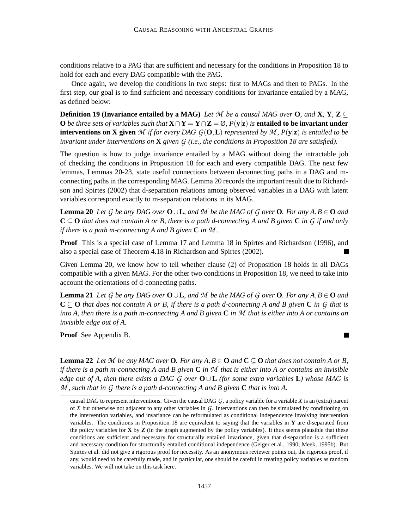conditions relative to a PAG that are sufficient and necessary for the conditions in Proposition 18 to hold for each and every DAG compatible with the PAG.

Once again, we develop the conditions in two steps: first to MAGs and then to PAGs. In the first step, our goal is to find sufficient and necessary conditions for invariance entailed by a MAG, as defined below:

**Definition 19 (Invariance entailed by a MAG)** Let M be a causal MAG over **O**, and **X**, **Y**, **Z**  $\subset$ **O** be three sets of variables such that  $X \cap Y = Y \cap Z = \emptyset$ ,  $P(y|z)$  is **entailed to be invariant under interventions on X given** M if for every DAG  $G(\mathbf{O}, L)$  represented by M,  $P(\mathbf{y}|\mathbf{z})$  is entailed to be *invariant under interventions on* **X** *given G (i.e., the conditions in Proposition 18 are satisfied).*

The question is how to judge invariance entailed by a MAG without doing the intractable job of checking the conditions in Proposition 18 for each and every compatible DAG. The next few lemmas, Lemmas 20-23, state useful connections between d-connecting paths in a DAG and mconnecting paths in the corresponding MAG. Lemma 20 records the important result due to Richardson and Spirtes (2002) that d-separation relations among observed variables in a DAG with latent variables correspond exactly to m-separation relations in its MAG.

**Lemma 20** Let G be any DAG over  $O \cup L$ , and M be the MAG of G over O. For any  $A, B \in O$  and  $C \subseteq O$  that does not contain A or B, there is a path d-connecting A and B given C in G if and only *if there is a path m-connecting A and B given* **C** *in M .*

**Proof** This is a special case of Lemma 17 and Lemma 18 in Spirtes and Richardson (1996), and also a special case of Theorem 4.18 in Richardson and Spirtes (2002).

Given Lemma 20, we know how to tell whether clause (2) of Proposition 18 holds in all DAGs compatible with a given MAG. For the other two conditions in Proposition 18, we need to take into account the orientations of d-connecting paths.

**Lemma 21** Let G be any DAG over  $O \cup L$ , and M be the MAG of G over O. For any  $A, B \in O$  and  $C \subseteq O$  that does not contain A or B, if there is a path d-connecting A and B given C in G that is into A, then there is a path m-connecting A and B given  $C$  in M that is either into A or contains an *invisible edge out of A.*

 $\blacksquare$ 

**Proof** See Appendix B.

**Lemma 22** Let M be any MAG over **O**. For any  $A, B \in \mathbf{O}$  and  $\mathbf{C} \subseteq \mathbf{O}$  that does not contain A or B, if there is a path m-connecting A and B given  $C$  in M that is either into A or contains an invisible edge out of A, then there exists a DAG G over  $O \cup L$  (for some extra variables L) whose MAG is *M , such that in G there is a path d-connecting A and B given* **C** *that is into A.*

causal DAG to represent interventions. Given the causal DAG  $G$ , a policy variable for a variable *X* is an (extra) parent of *X* but otherwise not adjacent to any other variables in *G*. Interventions can then be simulated by conditioning on the intervention variables, and invariance can be reformulated as conditional independence involving intervention variables. The conditions in Proposition 18 are equivalent to saying that the variables in **Y** are d-separated from the policy variables for **X** by **Z** (in the graph augmented by the policy variables). It thus seems plausible that these conditions are sufficient and necessary for structurally entailed invariance, given that d-separation is a sufficient and necessary condition for structurally entailed conditional independence (Geiger et al., 1990; Meek, 1995b). But Spirtes et al. did not give a rigorous proof for necessity. As an anonymous reviewer points out, the rigorous proof, if any, would need to be carefully made, and in particular, one should be careful in treating policy variables as random variables. We will not take on this task here.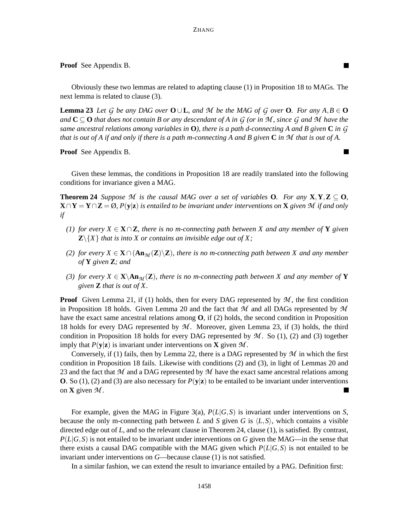**Proof** See Appendix B.

Obviously these two lemmas are related to adapting clause (1) in Proposition 18 to MAGs. The next lemma is related to clause (3).

 $\blacksquare$ 

 $\blacksquare$ 

**Lemma 23** Let G be any DAG over  $O \cup L$ , and M be the MAG of G over O. For any  $A, B \in O$ and  $C \subseteq O$  that does not contain B or any descendant of A in G (or in M, since G and M have the same ancestral relations among variables in  $O$ ), there is a path d-connecting A and B given C in G that is out of A if and only if there is a path m-connecting A and B given C in M that is out of A.

**Proof** See Appendix B.

Given these lemmas, the conditions in Proposition 18 are readily translated into the following conditions for invariance given a MAG.

**Theorem 24** Suppose M is the causal MAG over a set of variables **O**. For any  $X, Y, Z \subseteq O$ ,  ${\bf X} \cap {\bf Y} = {\bf Y} \cap {\bf Z} = \emptyset$ ,  $P({\bf y}|{\bf z})$  is entailed to be invariant under interventions on  ${\bf X}$  given  ${\mathcal{M}}$  if and only *if*

- (1) for every  $X \in \mathbf{X} \cap \mathbf{Z}$ , there is no m-connecting path between X and any member of **Y** given  $\mathbb{Z}\setminus\{X\}$  *that is into X or contains an invisible edge out of X*;
- (2) for every  $X \in X \cap (An_{\mathcal{M}}(Z) \backslash Z)$ , there is no m-connecting path between X and any member *of* **Y** *given* **Z***; and*
- (3) for every  $X \in \mathbf{X} \setminus \mathbf{An}_{\mathcal{M}}(\mathbf{Z})$ , there is no m-connecting path between X and any member of Y *given* **Z** *that is out of X.*

**Proof** Given Lemma 21, if (1) holds, then for every DAG represented by  $M$ , the first condition in Proposition 18 holds. Given Lemma 20 and the fact that *M* and all DAGs represented by *M* have the exact same ancestral relations among **O**, if (2) holds, the second condition in Proposition 18 holds for every DAG represented by *M* . Moreover, given Lemma 23, if (3) holds, the third condition in Proposition 18 holds for every DAG represented by  $M$ . So (1), (2) and (3) together imply that  $P(y|z)$  is invariant under interventions on **X** given M.

Conversely, if (1) fails, then by Lemma 22, there is a DAG represented by *M* in which the first condition in Proposition 18 fails. Likewise with conditions (2) and (3), in light of Lemmas 20 and 23 and the fact that *M* and a DAG represented by *M* have the exact same ancestral relations among **O**. So (1), (2) and (3) are also necessary for  $P(y|z)$  to be entailed to be invariant under interventions on **X** given  $M$ .  $\blacksquare$ 

For example, given the MAG in Figure 3(a), *P*(*L*|*G*,*S*) is invariant under interventions on *S*, because the only m-connecting path between *L* and *S* given *G* is  $\langle L, S \rangle$ , which contains a visible directed edge out of *L*, and so the relevant clause in Theorem 24, clause (1), is satisfied. By contrast,  $P(L|G, S)$  is not entailed to be invariant under interventions on *G* given the MAG—in the sense that there exists a causal DAG compatible with the MAG given which  $P(L|G, S)$  is not entailed to be invariant under interventions on *G*—because clause (1) is not satisfied.

In a similar fashion, we can extend the result to invariance entailed by a PAG. Definition first: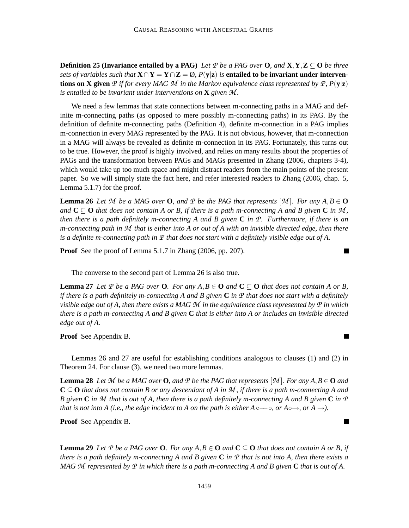**Definition 25 (Invariance entailed by a PAG)** Let P be a PAG over **O**, and **X**, **Y**, **Z**  $\subseteq$  **O** be three sets of variables such that  $X \cap Y = Y \cap Z = \emptyset$ ,  $P(y|z)$  is entailed to be invariant under interven**tions on X given** P if for every MAG M in the Markov equivalence class represented by P,  $P(y|z)$ *is entailed to be invariant under interventions on* **X** *given M .*

We need a few lemmas that state connections between m-connecting paths in a MAG and definite m-connecting paths (as opposed to mere possibly m-connecting paths) in its PAG. By the definition of definite m-connecting paths (Definition 4), definite m-connection in a PAG implies m-connection in every MAG represented by the PAG. It is not obvious, however, that m-connection in a MAG will always be revealed as definite m-connection in its PAG. Fortunately, this turns out to be true. However, the proof is highly involved, and relies on many results about the properties of PAGs and the transformation between PAGs and MAGs presented in Zhang (2006, chapters 3-4), which would take up too much space and might distract readers from the main points of the present paper. So we will simply state the fact here, and refer interested readers to Zhang (2006, chap. 5, Lemma 5.1.7) for the proof.

**Lemma 26** Let M be a MAG over **O**, and P be the PAG that represents  $[M]$ . For any  $A, B \in \mathbf{O}$ and  $C \subseteq O$  that does not contain A or B, if there is a path m-connecting A and B given C in M, then there is a path definitely m-connecting A and B given  $C$  in  $\mathcal{P}$ . Furthermore, if there is an m-connecting path in M that is either into A or out of A with an invisible directed edge, then there is a definite m-connecting path in  $P$  that does not start with a definitely visible edge out of A.

**Proof** See the proof of Lemma 5.1.7 in Zhang (2006, pp. 207).

The converse to the second part of Lemma 26 is also true.

**Lemma 27** Let P be a PAG over **O**. For any  $A, B \in \mathbf{O}$  and  $\mathbf{C} \subseteq \mathbf{O}$  that does not contain A or B, if there is a path definitely m-connecting A and B given  $C$  in  $\mathcal P$  that does not start with a definitely visible edge out of A, then there exists a MAG  $\mathcal M$  in the equivalence class represented by  $\mathcal P$  in which there is a path m-connecting A and B given  $C$  that is either into A or includes an invisible directed *edge out of A.*

**Proof** See Appendix B.

Lemmas 26 and 27 are useful for establishing conditions analogous to clauses (1) and (2) in Theorem 24. For clause (3), we need two more lemmas.

**Lemma 28** Let M be a MAG over **O**, and P be the PAG that represents  $[\mathcal{M}]$ . For any  $A, B \in \mathbf{O}$  and  $C \subseteq O$  that does not contain B or any descendant of A in M, if there is a path m-connecting A and B given C in M that is out of A, then there is a path definitely m-connecting A and B given C in P that is not into A (i.e., the edge incident to A on the path is either  $A \circ \neg \circ$ , or  $A \circ \rightarrow$ , or  $A \rightarrow$ ).

**Proof** See Appendix B.

**Lemma 29** Let P be a PAG over **O**. For any  $A, B \in \mathbf{O}$  and  $\mathbf{C} \subseteq \mathbf{O}$  that does not contain A or B, if there is a path definitely m-connecting A and B given C in P that is not into A, then there exists a MAG M represented by P in which there is a path m-connecting A and B given C that is out of A.

 $\blacksquare$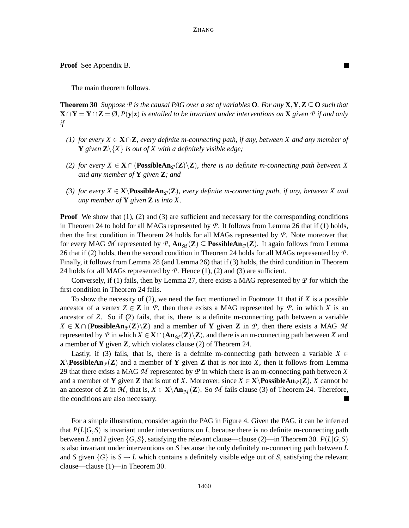ш

**Proof** See Appendix B.

The main theorem follows.

**Theorem 30** Suppose P is the causal PAG over a set of variables **O**. For any  $X, Y, Z \subseteq \mathbf{O}$  such that  $\mathbf{X} \cap \mathbf{Y} = \mathbf{Y} \cap \mathbf{Z} = \emptyset$ ,  $P(\mathbf{y}|\mathbf{z})$  is entailed to be invariant under interventions on  $\mathbf{X}$  given  $\mathcal P$  if and only *if*

- (1) for every  $X \in \mathbf{X} \cap \mathbf{Z}$ , every definite m-connecting path, if any, between X and any member of **Y** given  $\mathbb{Z}\setminus\{X\}$  is out of X with a definitely visible edge;
- *(2) for every X* ∈ **X** ∩ (PossibleAn<sub>*P*</sub>(**Z**) $\setminus$ **Z**)*, there is no definite <i>m*-connecting path between *X and any member of* **Y** *given* **Z***; and*
- *(3) for every*  $X \in \mathbf{X} \setminus \text{PossibleAn}_{\mathcal{P}}(\mathbf{Z})$ *, every definite m-connecting path, if any, between X and any member of* **Y** *given* **Z** *is into X.*

**Proof** We show that (1), (2) and (3) are sufficient and necessary for the corresponding conditions in Theorem 24 to hold for all MAGs represented by *P*. It follows from Lemma 26 that if (1) holds, then the first condition in Theorem 24 holds for all MAGs represented by *P*. Note moreover that for every MAG M represented by P,  $\text{An}_{\mathcal{M}}(Z) \subseteq \text{PossibleAn}_{\mathcal{P}}(Z)$ . It again follows from Lemma 26 that if (2) holds, then the second condition in Theorem 24 holds for all MAGs represented by *P*. Finally, it follows from Lemma 28 (and Lemma 26) that if (3) holds, the third condition in Theorem 24 holds for all MAGs represented by  $P$ . Hence  $(1)$ ,  $(2)$  and  $(3)$  are sufficient.

Conversely, if (1) fails, then by Lemma 27, there exists a MAG represented by *P* for which the first condition in Theorem 24 fails.

To show the necessity of (2), we need the fact mentioned in Footnote 11 that if *X* is a possible ancestor of a vertex  $Z \in \mathbb{Z}$  in *P*, then there exists a MAG represented by *P*, in which *X* is an ancestor of *Z*. So if (2) fails, that is, there is a definite m-connecting path between a variable  $X \in \mathbf{X} \cap (\text{PossibleAn}_{\mathcal{P}}(\mathbf{Z}) \setminus \mathbf{Z})$  and a member of **Y** given **Z** in *P*, then there exists a MAG *M* represented by P in which  $X \in X \cap (An_{\mathcal{M}}(Z) \setminus Z)$ , and there is an m-connecting path between X and a member of **Y** given **Z**, which violates clause (2) of Theorem 24.

Lastly, if (3) fails, that is, there is a definite m-connecting path between a variable  $X \in$ **X**  $\mathbf{X}$ **PossibleAn** $p(\mathbf{Z})$  and a member of **Y** given **Z** that is *not* into X, then it follows from Lemma 29 that there exists a MAG *M* represented by *P* in which there is an m-connecting path between *X* and a member of **Y** given **Z** that is out of X. Moreover, since  $X \in \mathbf{X} \setminus \mathbf{PossibleAn}_{\mathcal{P}}(\mathbf{Z})$ , X cannot be an ancestor of **Z** in *M*, that is,  $X \in \mathbf{X} \setminus \mathbf{An}_{\mathcal{M}}(\mathbf{Z})$ . So *M* fails clause (3) of Theorem 24. Therefore, the conditions are also necessary.

For a simple illustration, consider again the PAG in Figure 4. Given the PAG, it can be inferred that  $P(L|G, S)$  is invariant under interventions on *I*, because there is no definite m-connecting path between *L* and *I* given  $\{G, S\}$ , satisfying the relevant clause—clause (2)—in Theorem 30.  $P(L|G, S)$ is also invariant under interventions on *S* because the only definitely m-connecting path between *L* and *S* given  $\{G\}$  is  $S \to L$  which contains a definitely visible edge out of *S*, satisfying the relevant clause—clause (1)—in Theorem 30.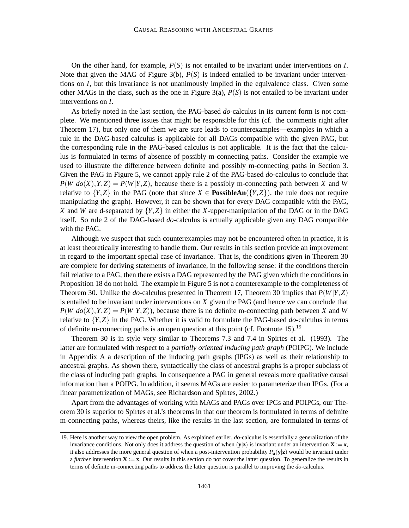On the other hand, for example, *P*(*S*) is not entailed to be invariant under interventions on *I*. Note that given the MAG of Figure 3(b),  $P(S)$  is indeed entailed to be invariant under interventions on *I*, but this invariance is not unanimously implied in the equivalence class. Given some other MAGs in the class, such as the one in Figure  $3(a)$ ,  $P(S)$  is not entailed to be invariant under interventions on *I*.

As briefly noted in the last section, the PAG-based *do*-calculus in its current form is not complete. We mentioned three issues that might be responsible for this (cf. the comments right after Theorem 17), but only one of them we are sure leads to counterexamples—examples in which a rule in the DAG-based calculus is applicable for all DAGs compatible with the given PAG, but the corresponding rule in the PAG-based calculus is not applicable. It is the fact that the calculus is formulated in terms of absence of possibly m-connecting paths. Consider the example we used to illustrate the difference between definite and possibly m-connecting paths in Section 3. Given the PAG in Figure 5, we cannot apply rule 2 of the PAG-based *do*-calculus to conclude that  $P(W|do(X), Y, Z) = P(W|Y, Z)$ , because there is a possibly m-connecting path between *X* and *W* relative to  ${Y,Z}$  in the PAG (note that since  $X \in \text{PossibleAn}( {Y,Z} )$ ), the rule does not require manipulating the graph). However, it can be shown that for every DAG compatible with the PAG, *X* and *W* are d-separated by {*Y*,*Z*} in either the *X*-upper-manipulation of the DAG or in the DAG itself. So rule 2 of the DAG-based *do*-calculus is actually applicable given any DAG compatible with the PAG.

Although we suspect that such counterexamples may not be encountered often in practice, it is at least theoretically interesting to handle them. Our results in this section provide an improvement in regard to the important special case of invariance. That is, the conditions given in Theorem 30 are complete for deriving statements of invariance, in the following sense: if the conditions therein fail relative to a PAG, then there exists a DAG represented by the PAG given which the conditions in Proposition 18 do not hold. The example in Figure 5 is not a counterexample to the completeness of Theorem 30. Unlike the *do*-calculus presented in Theorem 17, Theorem 30 implies that *P*(*W*|*Y*,*Z*) is entailed to be invariant under interventions on *X* given the PAG (and hence we can conclude that  $P(W|do(X), Y, Z) = P(W|Y, Z)$ , because there is no definite m-connecting path between *X* and *W* relative to {*Y*,*Z*} in the PAG. Whether it is valid to formulate the PAG-based *do*-calculus in terms of definite m-connecting paths is an open question at this point (cf. Footnote 15).<sup>19</sup>

Theorem 30 is in style very similar to Theorems 7.3 and 7.4 in Spirtes et al. (1993). The latter are formulated with respect to a *partially oriented inducing path graph* (POIPG). We include in Appendix A a description of the inducing path graphs (IPGs) as well as their relationship to ancestral graphs. As shown there, syntactically the class of ancestral graphs is a proper subclass of the class of inducing path graphs. In consequence a PAG in general reveals more qualitative causal information than a POIPG. In addition, it seems MAGs are easier to parameterize than IPGs. (For a linear parametrization of MAGs, see Richardson and Spirtes, 2002.)

Apart from the advantages of working with MAGs and PAGs over IPGs and POIPGs, our Theorem 30 is superior to Spirtes et al.'s theorems in that our theorem is formulated in terms of definite m-connecting paths, whereas theirs, like the results in the last section, are formulated in terms of

<sup>19.</sup> Here is another way to view the open problem. As explained earlier, *do*-calculus is essentially a generalization of the invariance conditions. Not only does it address the question of when  $(y|z)$  is invariant under an intervention  $X := x$ , it also addresses the more general question of when a post-intervention probability  $P_{\bf u}({\bf y}|{\bf z})$  would be invariant under a *further* intervention  $X := x$ . Our results in this section do not cover the latter question. To generalize the results in terms of definite m-connecting paths to address the latter question is parallel to improving the *do*-calculus.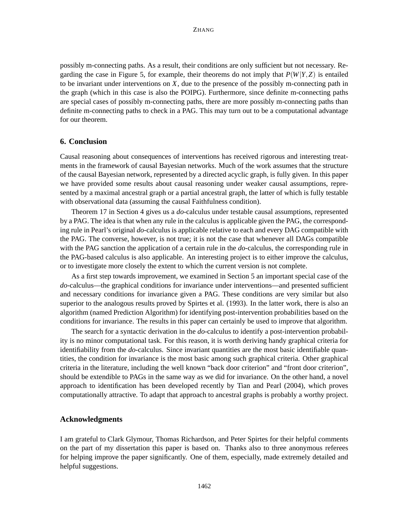possibly m-connecting paths. As a result, their conditions are only sufficient but not necessary. Regarding the case in Figure 5, for example, their theorems do not imply that  $P(W|Y,Z)$  is entailed to be invariant under interventions on *X*, due to the presence of the possibly m-connecting path in the graph (which in this case is also the POIPG). Furthermore, since definite m-connecting paths are special cases of possibly m-connecting paths, there are more possibly m-connecting paths than definite m-connecting paths to check in a PAG. This may turn out to be a computational advantage for our theorem.

### **6. Conclusion**

Causal reasoning about consequences of interventions has received rigorous and interesting treatments in the framework of causal Bayesian networks. Much of the work assumes that the structure of the causal Bayesian network, represented by a directed acyclic graph, is fully given. In this paper we have provided some results about causal reasoning under weaker causal assumptions, represented by a maximal ancestral graph or a partial ancestral graph, the latter of which is fully testable with observational data (assuming the causal Faithfulness condition).

Theorem 17 in Section 4 gives us a *do*-calculus under testable causal assumptions, represented by a PAG. The idea is that when any rule in the calculus is applicable given the PAG, the corresponding rule in Pearl's original *do*-calculus is applicable relative to each and every DAG compatible with the PAG. The converse, however, is not true; it is not the case that whenever all DAGs compatible with the PAG sanction the application of a certain rule in the *do*-calculus, the corresponding rule in the PAG-based calculus is also applicable. An interesting project is to either improve the calculus, or to investigate more closely the extent to which the current version is not complete.

As a first step towards improvement, we examined in Section 5 an important special case of the *do*-calculus—the graphical conditions for invariance under interventions—and presented sufficient and necessary conditions for invariance given a PAG. These conditions are very similar but also superior to the analogous results proved by Spirtes et al. (1993). In the latter work, there is also an algorithm (named Prediction Algorithm) for identifying post-intervention probabilities based on the conditions for invariance. The results in this paper can certainly be used to improve that algorithm.

The search for a syntactic derivation in the *do*-calculus to identify a post-intervention probability is no minor computational task. For this reason, it is worth deriving handy graphical criteria for identifiability from the *do*-calculus. Since invariant quantities are the most basic identifiable quantities, the condition for invariance is the most basic among such graphical criteria. Other graphical criteria in the literature, including the well known "back door criterion" and "front door criterion", should be extendible to PAGs in the same way as we did for invariance. On the other hand, a novel approach to identification has been developed recently by Tian and Pearl (2004), which proves computationally attractive. To adapt that approach to ancestral graphs is probably a worthy project.

### **Acknowledgments**

I am grateful to Clark Glymour, Thomas Richardson, and Peter Spirtes for their helpful comments on the part of my dissertation this paper is based on. Thanks also to three anonymous referees for helping improve the paper significantly. One of them, especially, made extremely detailed and helpful suggestions.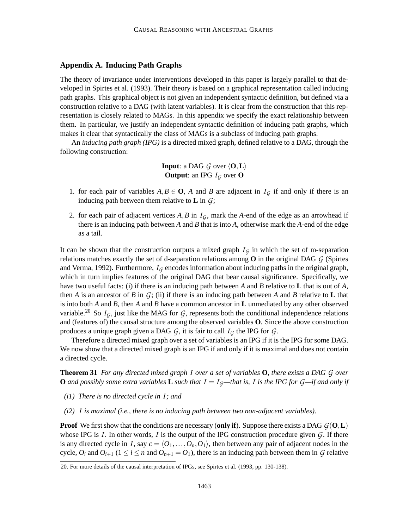# **Appendix A. Inducing Path Graphs**

The theory of invariance under interventions developed in this paper is largely parallel to that developed in Spirtes et al. (1993). Their theory is based on a graphical representation called inducing path graphs. This graphical object is not given an independent syntactic definition, but defined via a construction relative to a DAG (with latent variables). It is clear from the construction that this representation is closely related to MAGs. In this appendix we specify the exact relationship between them. In particular, we justify an independent syntactic definition of inducing path graphs, which makes it clear that syntactically the class of MAGs is a subclass of inducing path graphs.

An *inducing path graph (IPG)* is a directed mixed graph, defined relative to a DAG, through the following construction:

> **Input**: a DAG *G* over  $\langle 0, L \rangle$ **Output:** an IPG  $I_G$  over **O**

- 1. for each pair of variables  $A, B \in \mathbf{O}$ , *A* and *B* are adjacent in  $I_G$  if and only if there is an inducing path between them relative to **L** in  $\mathcal{G}$ ;
- 2. for each pair of adjacent vertices  $A$ ,  $B$  in  $I<sub>G</sub>$ , mark the  $A$ -end of the edge as an arrowhead if there is an inducing path between *A* and *B* that is into *A*, otherwise mark the *A*-end of the edge as a tail.

It can be shown that the construction outputs a mixed graph  $I_G$  in which the set of m-separation relations matches exactly the set of d-separation relations among **O** in the original DAG *G* (Spirtes and Verma, 1992). Furthermore,  $I_G$  encodes information about inducing paths in the original graph, which in turn implies features of the original DAG that bear causal significance. Specifically, we have two useful facts: (i) if there is an inducing path between *A* and *B* relative to **L** that is out of *A*, then *A* is an ancestor of *B* in  $G$ ; (ii) if there is an inducing path between *A* and *B* relative to **L** that is into both *A* and *B*, then *A* and *B* have a common ancestor in **L** unmediated by any other observed variable.<sup>20</sup> So  $I_G$ , just like the MAG for  $G$ , represents both the conditional independence relations and (features of) the causal structure among the observed variables **O**. Since the above construction produces a unique graph given a DAG  $G$ , it is fair to call  $I_G$  the IPG for  $G$ .

Therefore a directed mixed graph over a set of variables is an IPG if it is the IPG for some DAG. We now show that a directed mixed graph is an IPG if and only if it is maximal and does not contain a directed cycle.

**Theorem 31** For any directed mixed graph I over a set of variables  $\bf{O}$ , there exists a DAG G over **O** and possibly some extra variables **L** such that  $I = I_G$ —that is, I is the IPG for  $G$ —if and only if

- *(i1) There is no directed cycle in I; and*
- *(i2) I is maximal (i.e., there is no inducing path between two non-adjacent variables).*

**Proof** We first show that the conditions are necessary (only if). Suppose there exists a DAG  $G(\mathbf{0}, \mathbf{L})$ whose IPG is *I*. In other words, *I* is the output of the IPG construction procedure given  $G$ . If there is any directed cycle in *I*, say  $c = \langle O_1, \ldots, O_n, O_1 \rangle$ , then between any pair of adjacent nodes in the cycle,  $O_i$  and  $O_{i+1}$  ( $1 \le i \le n$  and  $O_{n+1} = O_1$ ), there is an inducing path between them in *G* relative

<sup>20.</sup> For more details of the causal interpretation of IPGs, see Spirtes et al. (1993, pp. 130-138).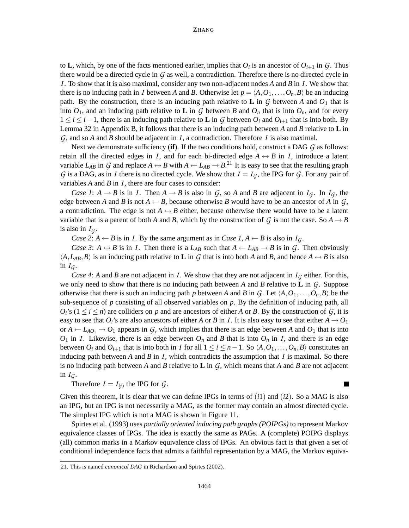#### **ZHANG**

to **L**, which, by one of the facts mentioned earlier, implies that  $O_i$  is an ancestor of  $O_{i+1}$  in  $\mathcal{G}$ . Thus there would be a directed cycle in *G* as well, a contradiction. Therefore there is no directed cycle in *I*. To show that it is also maximal, consider any two non-adjacent nodes *A* and *B* in *I*. We show that there is no inducing path in *I* between *A* and *B*. Otherwise let  $p = \langle A, O_1, \ldots, O_n, B \rangle$  be an inducing path. By the construction, there is an inducing path relative to **L** in  $G$  between  $A$  and  $O_1$  that is into  $O_1$ , and an inducing path relative to **L** in G between *B* and  $O_n$  that is into  $O_n$ , and for every 1 ≤ *i* ≤ *i*−1, there is an inducing path relative to **L** in *G* between *O<sup>i</sup>* and *Oi*+<sup>1</sup> that is into both. By Lemma 32 in Appendix B, it follows that there is an inducing path between *A* and *B* relative to **L** in *G*, and so *A* and *B* should be adjacent in *I*, a contradiction. Therefore *I* is also maximal.

Next we demonstrate sufficiency (**if**). If the two conditions hold, construct a DAG *G* as follows: retain all the directed edges in *I*, and for each bi-directed edge  $A \leftrightarrow B$  in *I*, introduce a latent variable  $L_{AB}$  in  $G$  and replace  $A \leftrightarrow B$  with  $A \leftarrow L_{AB} \rightarrow B$ .<sup>21</sup> It is easy to see that the resulting graph *G* is a DAG, as in *I* there is no directed cycle. We show that  $I = I_G$ , the IPG for *G*. For any pair of variables *A* and *B* in *I*, there are four cases to consider:

*Case 1*:  $A \rightarrow B$  is in *I*. Then  $A \rightarrow B$  is also in *G*, so *A* and *B* are adjacent in  $I_G$ . In  $I_G$ , the edge between *A* and *B* is not  $A \leftarrow B$ , because otherwise *B* would have to be an ancestor of *A* in *G*, a contradiction. The edge is not  $A \leftrightarrow B$  either, because otherwise there would have to be a latent variable that is a parent of both *A* and *B*, which by the construction of *G* is not the case. So  $A \rightarrow B$ is also in  $I_G$ .

*Case* 2:  $A \leftarrow B$  is in *I*. By the same argument as in *Case*  $I, A \leftarrow B$  is also in  $I_G$ .

*Case* 3:  $A \leftrightarrow B$  is in *I*. Then there is a  $L_{AB}$  such that  $A \leftarrow L_{AB} \rightarrow B$  is in *G*. Then obviously  $\langle A, L_{AB}, B \rangle$  is an inducing path relative to **L** in *G* that is into both *A* and *B*, and hence  $A \leftrightarrow B$  is also in  $I_G$ .

*Case* 4: *A* and *B* are not adjacent in *I*. We show that they are not adjacent in  $I_G$  either. For this, we only need to show that there is no inducing path between *A* and *B* relative to **L** in *G*. Suppose otherwise that there is such an inducing path *p* between *A* and *B* in  $G$ . Let  $\langle A, O_1, \ldots, O_n, B \rangle$  be the sub-sequence of *p* consisting of all observed variables on *p*. By the definition of inducing path, all  $O_i$ 's ( $1 \le i \le n$ ) are colliders on *p* and are ancestors of either *A* or *B*. By the construction of *G*, it is easy to see that  $O_i$ 's are also ancestors of either *A* or *B* in *I*. It is also easy to see that either  $A \rightarrow O_1$ or  $A \leftarrow L_{AO_1} \rightarrow O_1$  appears in  $G$ , which implies that there is an edge between A and  $O_1$  that is into  $O_1$  in *I*. Likewise, there is an edge between  $O_n$  and *B* that is into  $O_n$  in *I*, and there is an edge between  $O_i$  and  $O_{i+1}$  that is into both in *I* for all  $1 \le i \le n-1$ . So  $\langle A, O_1, \ldots, O_n, B \rangle$  constitutes an inducing path between *A* and *B* in *I*, which contradicts the assumption that *I* is maximal. So there is no inducing path between *A* and *B* relative to **L** in *G*, which means that *A* and *B* are not adjacent in  $I_G$ .

Therefore  $I = I_G$ , the IPG for  $G$ .

▅

Given this theorem, it is clear that we can define IPGs in terms of (*i*1) and (*i*2). So a MAG is also an IPG, but an IPG is not necessarily a MAG, as the former may contain an almost directed cycle. The simplest IPG which is not a MAG is shown in Figure 11.

Spirtes et al. (1993) uses *partially oriented inducing path graphs (POIPGs)* to represent Markov equivalence classes of IPGs. The idea is exactly the same as PAGs. A (complete) POIPG displays (all) common marks in a Markov equivalence class of IPGs. An obvious fact is that given a set of conditional independence facts that admits a faithful representation by a MAG, the Markov equiva-

<sup>21.</sup> This is named *canonical DAG* in Richardson and Spirtes (2002).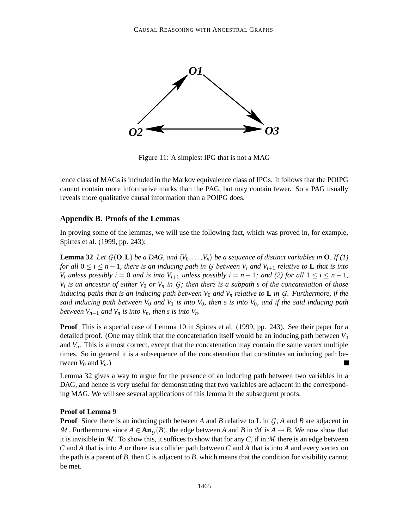

Figure 11: A simplest IPG that is not a MAG

lence class of MAGs is included in the Markov equivalence class of IPGs. It follows that the POIPG cannot contain more informative marks than the PAG, but may contain fewer. So a PAG usually reveals more qualitative causal information than a POIPG does.

# **Appendix B. Proofs of the Lemmas**

In proving some of the lemmas, we will use the following fact, which was proved in, for example, Spirtes et al. (1999, pp. 243):

**Lemma 32** Let  $G(\mathbf{O}, L)$  be a DAG, and  $\langle V_0, \ldots, V_n \rangle$  be a sequence of distinct variables in **O**. If (1) for all  $0 \le i \le n-1$ , there is an inducing path in G between  $V_i$  and  $V_{i+1}$  relative to **L** that is into  $V_i$  unless possibly  $i = 0$  and is into  $V_{i+1}$  unless possibly  $i = n-1$ ; and (2) for all  $1 \le i \le n-1$ ,  $V_i$  is an ancestor of either  $V_0$  or  $V_n$  in  $G$ ; then there is a subpath s of the concatenation of those inducing paths that is an inducing path between  $V_0$  and  $V_n$  relative to **L** in G. Furthermore, if the said inducing path between  $V_0$  and  $V_1$  is into  $V_0$ , then s is into  $V_0$ , and if the said inducing path *between*  $V_{n-1}$  *and*  $V_n$  *is into*  $V_n$ *, then s is into*  $V_n$ *.* 

**Proof** This is a special case of Lemma 10 in Spirtes et al. (1999, pp. 243). See their paper for a detailed proof. (One may think that the concatenation itself would be an inducing path between  $V_0$ and  $V<sub>n</sub>$ . This is almost correct, except that the concatenation may contain the same vertex multiple times. So in general it is a subsequence of the concatenation that constitutes an inducing path between  $V_0$  and  $V_n$ .)

Lemma 32 gives a way to argue for the presence of an inducing path between two variables in a DAG, and hence is very useful for demonstrating that two variables are adjacent in the corresponding MAG. We will see several applications of this lemma in the subsequent proofs.

### **Proof of Lemma 9**

**Proof** Since there is an inducing path between *A* and *B* relative to **L** in *G*, *A* and *B* are adjacent in *M*. Furthermore, since  $A \in \text{An}_{G}(B)$ , the edge between *A* and *B* in *M* is  $A \rightarrow B$ . We now show that it is invisible in  $M$ . To show this, it suffices to show that for any  $C$ , if in  $M$  there is an edge between *C* and *A* that is into *A* or there is a collider path between *C* and *A* that is into *A* and every vertex on the path is a parent of *B*, then *C* is adjacent to *B*, which means that the condition for visibility cannot be met.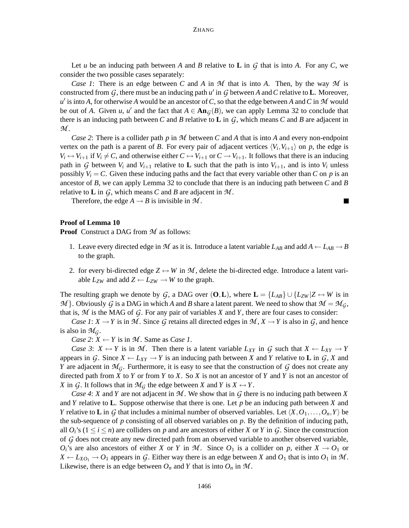Let *u* be an inducing path between *A* and *B* relative to **L** in  $G$  that is into *A*. For any  $C$ , we consider the two possible cases separately:

*Case 1*: There is an edge between *C* and *A* in *M* that is into *A*. Then, by the way *M* is constructed from  $G$ , there must be an inducing path  $u'$  in  $G$  between  $A$  and  $C$  relative to  $L$ . Moreover,  $u'$  is into *A*, for otherwise *A* would be an ancestor of *C*, so that the edge between *A* and *C* in *M* would be out of *A*. Given *u*, *u'* and the fact that  $A \in \text{An}_{\mathcal{G}}(B)$ , we can apply Lemma 32 to conclude that there is an inducing path between *C* and *B* relative to **L** in  $G$ , which means *C* and *B* are adjacent in *M* .

*Case 2*: There is a collider path *p* in *M* between *C* and *A* that is into *A* and every non-endpoint vertex on the path is a parent of *B*. For every pair of adjacent vertices  $\langle V_i, V_{i+1} \rangle$  on *p*, the edge is  $V_i \leftrightarrow V_{i+1}$  if  $V_i \neq C$ , and otherwise either  $C \leftrightarrow V_{i+1}$  or  $C \rightarrow V_{i+1}$ . It follows that there is an inducing path in *G* between  $V_i$  and  $V_{i+1}$  relative to **L** such that the path is into  $V_{i+1}$ , and is into  $V_i$  unless possibly  $V_i = C$ . Given these inducing paths and the fact that every variable other than C on p is an ancestor of *B*, we can apply Lemma 32 to conclude that there is an inducing path between *C* and *B* relative to **L** in *G*, which means *C* and *B* are adjacent in *M* .

Therefore, the edge  $A \rightarrow B$  is invisible in  $M$ .

#### **Proof of Lemma 10**

**Proof** Construct a DAG from *M* as follows:

- 1. Leave every directed edge in *M* as it is. Introduce a latent variable  $L_{AB}$  and add  $A \leftarrow L_{AB} \rightarrow B$ to the graph.
- 2. for every bi-directed edge  $Z \leftrightarrow W$  in M, delete the bi-directed edge. Introduce a latent variable  $L_{ZW}$  and add  $Z \leftarrow L_{ZW} \rightarrow W$  to the graph.

The resulting graph we denote by *G*, a DAG over  $(O, L)$ , where  $L = \{L_{AB}\} \cup \{L_{ZW} | Z \leftrightarrow W \text{ is in } \}$  $M$ . Obviously *G* is a DAG in which *A* and *B* share a latent parent. We need to show that  $M = M_G$ , that is,  $M$  is the MAG of  $G$ . For any pair of variables  $X$  and  $Y$ , there are four cases to consider:

*Case*  $I: X \to Y$  is in M. Since G retains all directed edges in  $M, X \to Y$  is also in G, and hence is also in  $\mathcal{M}_G$ .

*Case* 2:  $X \leftarrow Y$  is in M. Same as *Case 1*.

*Case* 3:  $X \leftrightarrow Y$  is in *M*. Then there is a latent variable  $L_{XY}$  in *G* such that  $X \leftarrow L_{XY} \rightarrow Y$ appears in *G*. Since  $X \leftarrow L_{XY} \rightarrow Y$  is an inducing path between X and Y relative to **L** in *G*, X and *Y* are adjacent in  $\mathcal{M}_G$ . Furthermore, it is easy to see that the construction of  $G$  does not create any directed path from *X* to *Y* or from *Y* to *X*. So *X* is not an ancestor of *Y* and *Y* is not an ancestor of *X* in *G*. It follows that in  $\mathcal{M}_G$  the edge between *X* and *Y* is  $X \leftrightarrow Y$ .

*Case 4*: *X* and *Y* are not adjacent in *M* . We show that in *G* there is no inducing path between *X* and *Y* relative to **L**. Suppose otherwise that there is one. Let *p* be an inducing path between *X* and *Y* relative to **L** in *G* that includes a minimal number of observed variables. Let  $\langle X, O_1, \ldots, O_n, Y \rangle$  be the sub-sequence of  $p$  consisting of all observed variables on  $p$ . By the definition of inducing path, all  $O_i$ 's ( $1 \le i \le n$ ) are colliders on p and are ancestors of either X or Y in G. Since the construction of *G* does not create any new directed path from an observed variable to another observed variable,  $O_i$ 's are also ancestors of either *X* or *Y* in *M*. Since  $O_1$  is a collider on *p*, either  $X \to O_1$  or  $X \leftarrow L_{XO_1} \rightarrow O_1$  appears in G. Either way there is an edge between X and  $O_1$  that is into  $O_1$  in M. Likewise, there is an edge between  $O_n$  and *Y* that is into  $O_n$  in  $\mathcal{M}$ .

Ξ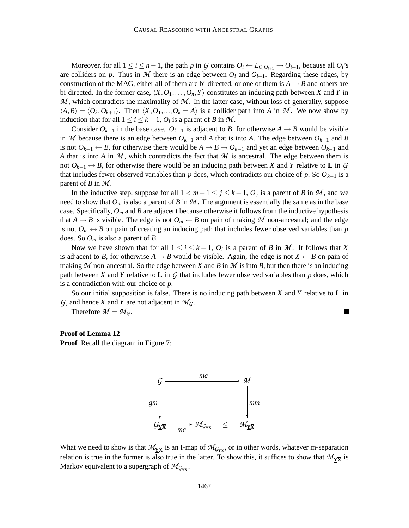Moreover, for all  $1 \le i \le n-1$ , the path p in G contains  $O_i \leftarrow L_{O_i O_{i+1}} \rightarrow O_{i+1}$ , because all  $O_i$ 's are colliders on p. Thus in M there is an edge between  $O_i$  and  $O_{i+1}$ . Regarding these edges, by construction of the MAG, either all of them are bi-directed, or one of them is  $A \rightarrow B$  and others are bi-directed. In the former case,  $\langle X, O_1, \ldots, O_n, Y \rangle$  constitutes an inducing path between *X* and *Y* in *M* , which contradicts the maximality of *M* . In the latter case, without loss of generality, suppose  $\langle A, B \rangle = \langle O_k, O_{k+1} \rangle$ . Then  $\langle X, O_1, ..., O_k = A \rangle$  is a collider path into *A* in *M*. We now show by induction that for all  $1 \le i \le k-1$ ,  $O_i$  is a parent of *B* in *M*.

Consider  $O_{k-1}$  in the base case.  $O_{k-1}$  is adjacent to *B*, for otherwise  $A \to B$  would be visible in *M* because there is an edge between  $O_{k-1}$  and *A* that is into *A*. The edge between  $O_{k-1}$  and *B* is not  $O_{k-1}$  ← *B*, for otherwise there would be  $A \to B \to O_{k-1}$  and yet an edge between  $O_{k-1}$  and *A* that is into *A* in *M* , which contradicts the fact that *M* is ancestral. The edge between them is not  $O_{k-1}$  ↔ *B*, for otherwise there would be an inducing path between *X* and *Y* relative to **L** in *G* that includes fewer observed variables than *p* does, which contradicts our choice of *p*. So  $O_{k-1}$  is a parent of *B* in *M* .

In the inductive step, suppose for all  $1 < m+1 \le j \le k-1$ ,  $O_j$  is a parent of *B* in *M*, and we need to show that  $O_m$  is also a parent of *B* in  $M$ . The argument is essentially the same as in the base case. Specifically, *O<sup>m</sup>* and *B* are adjacent because otherwise it follows from the inductive hypothesis that  $A \rightarrow B$  is visible. The edge is not  $O_m \leftarrow B$  on pain of making M non-ancestral; and the edge is not  $O_m \leftrightarrow B$  on pain of creating an inducing path that includes fewer observed variables than *p* does. So *O<sup>m</sup>* is also a parent of *B*.

Now we have shown that for all  $1 \leq i \leq k-1$ ,  $O_i$  is a parent of *B* in *M*. It follows that *X* is adjacent to *B*, for otherwise  $A \rightarrow B$  would be visible. Again, the edge is not  $X \leftarrow B$  on pain of making M non-ancestral. So the edge between X and B in M is into B, but then there is an inducing path between *X* and *Y* relative to **L** in *G* that includes fewer observed variables than *p* does, which is a contradiction with our choice of *p*.

So our initial supposition is false. There is no inducing path between *X* and *Y* relative to **L** in *G*, and hence *X* and *Y* are not adjacent in  $\mathcal{M}_G$ .

Therefore  $\mathcal{M} = \mathcal{M}_G$ .

### **Proof of Lemma 12**

**Proof** Recall the diagram in Figure 7:



What we need to show is that  $M_{\underline{Y\overline{X}}}$  is an I-map of  $M_{G_{\underline{Y\overline{X}}}}$ , or in other words, whatever m-separation relation is true in the former is also true in the latter. To show this, it suffices to show that  $\mathcal{M}_{\bf Y\overline{\bf X}}$  is Markov equivalent to a supergraph of  $\mathcal{M}_{\mathcal{G}_{\mathbf{Y}\overline{\mathbf{X}}}}$ .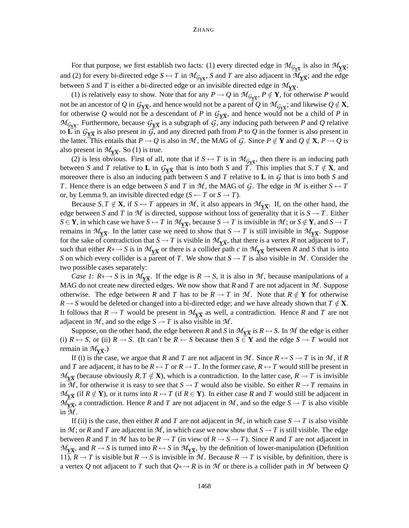For that purpose, we first establish two facts: (1) every directed edge in  $\mathcal{M}_{\mathcal{G}_{\mathbf{X}}\overline{\mathbf{X}}}$  is also in  $\mathcal{M}_{\mathbf{X}}\overline{\mathbf{X}}$ ; and (2) for every bi-directed edge  $S \leftrightarrow T$  in  $\mathcal{M}_{G_{Y\overline{X}}}$ , *S* and *T* are also adjacent in  $\mathcal{M}_{Y\overline{X}}$ ; and the edge between *S* and *T* is either a bi-directed edge or an invisible directed edge in  $\mathcal{M}_{\text{YX}}$ .

(1) is relatively easy to show. Note that for any  $P \to Q$  in  $\mathcal{M}_{\mathcal{G}_{\mathbf{Y}\overline{\mathbf{X}}}}$ ,  $P \notin \mathbf{Y}$ , for otherwise P would not be an ancestor of  $Q$  in  $\mathcal{G}_{\underline{Y}\overline{X}}$ , and hence would not be a parent of  $Q$  in  $\mathcal{M}_{\mathcal{G}_{\underline{Y}\overline{X}}}$ ; and likewise  $Q\notin\mathbf{X},$ for otherwise Q would not be a descendant of P in  $G_{\mathbf{Y}\overline{\mathbf{X}}}$ , and hence would not be a child of P in  $M_{G_{\text{Y}}\overline{\text{X}}}$ . Furthermore, because  $G_{\text{Y}}\overline{\text{X}}$  is a subgraph of  $G$ , any inducing path between *P* and *Q* relative to  $\overline{\mathbf{L}}$  in  $\mathcal{G}_{\mathbf{Y}\overline{\mathbf{X}}}$  is also present in  $\overline{\mathcal{G}}$ , and any directed path from P to Q in the former is also present in the latter. This entails that  $P \to Q$  is also in *M*, the MAG of *G*. Since  $P \notin Y$  and  $Q \notin X$ ,  $P \to Q$  is also present in  $\mathcal{M}_{\mathbf{Y}\overline{\mathbf{X}}}$ . So (1) is true.

(2) is less obvious. First of all, note that if  $S \leftrightarrow T$  is in  $\mathcal{M}_{G_{\mathbf{Y}}\overline{\mathbf{X}}}$ , then there is an inducing path between *S* and *T* relative to **L** in  $G_{\mathbf{Y}\overline{\mathbf{X}}}$  that is into both *S* and *T*. This implies that  $S, T \notin \mathbf{X}$ , and moreover there is also an inducing path between *S* and *T* relative to **L** in *G* that is into both *S* and *T*. Hence there is an edge between *S* and *T* in *M*, the MAG of *G*. The edge in *M* is either  $S \leftrightarrow T$ or, by Lemma 9, an invisible directed edge  $(S \leftarrow T \text{ or } S \rightarrow T)$ .

Because  $S, T \notin \mathbf{X}$ , if  $S \hookrightarrow T$  appears in  $M$ , it also appears in  $M_{\mathbf{Y}\overline{\mathbf{X}}}$ . If, on the other hand, the edge between *S* and *T* in *M* is directed, suppose without loss of generality that it is  $S \rightarrow T$ . Either  $S \in Y$ , in which case we have  $S \leftrightarrow T$  in  $M_{\mathbf{Y}\overline{\mathbf{X}}}$ , because  $S \to T$  is invisible in  $M$ ; or  $S \notin Y$ , and  $S \to T$ remains in  $M_{\text{YX}}$ . In the latter case we need to show that  $S \to T$  is still invisible in  $M_{\text{YX}}$ . Suppose for the sake of contradiction that  $S \to T$  is visible in  $\mathcal{M}_{\Sigma}$ , that there is a vertex *R* not adjacent to *T*, such that either  $R \rightarrow S$  is in  $M_{\overline{X}}$  or there is a collider path *c* in  $M_{\overline{X}}$  between *R* and *S* that is into *S* on which every collider is a parent of *T*. We show that  $S \to T$  is also visible in *M*. Consider the two possible cases separately:

*Case 1*:  $R \rightarrow S$  is in  $M_{\overline{X}}$ . If the edge is  $R \rightarrow S$ , it is also in *M*, because manipulations of a MAG do not create new directed edges. We now show that *R* and *T* are not adjacent in *M* . Suppose otherwise. The edge between *R* and *T* has to be  $R \to T$  in *M*. Note that  $R \notin Y$  for otherwise  $R \rightarrow S$  would be deleted or changed into a bi-directed edge; and we have already shown that  $T \notin \mathbf{X}$ . It follows that  $R \to T$  would be present in  $\mathcal{M}_{\Sigma}$  as well, a contradiction. Hence R and T are not adjacent in  $M$ , and so the edge  $S \rightarrow T$  is also visible in  $M$ .

Suppose, on the other hand, the edge between *R* and *S* in  $\mathcal{M}_{\bf Y\overline{\bf X}}$  is  $R \leftrightarrow S$ . In  $\mathcal M$  the edge is either (i)  $R \leftrightarrow S$ , or (ii)  $R \rightarrow S$ . (It can't be  $R \leftarrow S$  because then  $S \in Y$  and the edge  $S \rightarrow T$  would not remain in  $\mathcal{M}_{\underline{Y}\overline{X}}$ .)

If (i) is the case, we argue that *R* and *T* are not adjacent in *M*. Since  $R \leftrightarrow S \rightarrow T$  is in *M*, if *R* and *T* are adjacent, it has to be  $R \leftrightarrow T$  or  $R \to T$ . In the former case,  $R \leftrightarrow T$  would still be present in  $M_{\overline{X}}$  (because obviously  $R, T \notin \mathbf{X}$ ), which is a contradiction. In the latter case,  $R \to T$  is invisible in  $\overline{M}$ , for otherwise it is easy to see that  $S \to T$  would also be visible. So either  $R \to T$  remains in  $M_{\overline{X}}$  (if  $R \notin Y$ ), or it turns into  $R \leftrightarrow T$  (if  $R \in Y$ ). In either case *R* and *T* would still be adjacent in  $M_{\overline{X}}$ , a contradiction. Hence *R* and *T* are not adjacent in *M*, and so the edge *S*  $\rightarrow$  *T* is also visible in *M* .

If (ii) is the case, then either *R* and *T* are not adjacent in *M*, in which case  $S \rightarrow T$  is also visible in  $M$ ; or *R* and *T* are adjacent in  $M$ , in which case we now show that  $S \rightarrow T$  is still visible. The edge between *R* and *T* in *M* has to be  $R \to T$  (in view of  $R \to S \to T$ ). Since *R* and *T* are not adjacent in  $M_{\overline{X}}$ , and  $R \to S$  is turned into  $R \leftrightarrow S$  in  $M_{\overline{X}}$ , by the definition of lower-manipulation (Definition 11),  $R \to T$  is visible but  $R \to S$  is invisible in M. Because  $R \to T$  is visible, by definition, there is a vertex *Q* not adjacent to *T* such that *Q*∗→ *R* is in *M* or there is a collider path in *M* between *Q*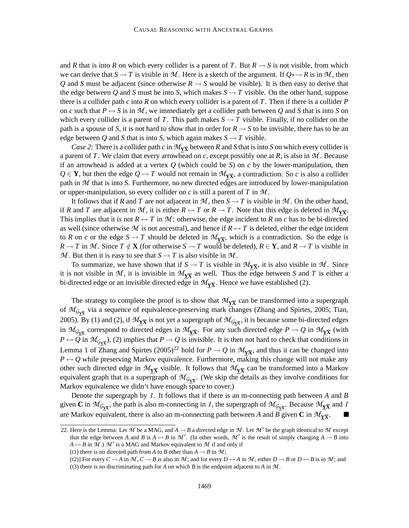and *R* that is into *R* on which every collider is a parent of *T*. But  $R \rightarrow S$  is not visible, from which we can derive that  $S \to T$  is visible in M. Here is a sketch of the argument. If  $Q^* \to R$  is in M, then *Q* and *S* must be adjacent (since otherwise  $R \rightarrow S$  would be visible). It is then easy to derive that the edge between *Q* and *S* must be into *S*, which makes  $S \rightarrow T$  visible. On the other hand, suppose there is a collider path *c* into *R* on which every collider is a parent of *T*. Then if there is a collider *P* on *c* such that  $P \leftrightarrow S$  is in M, we immediately get a collider path between Q and S that is into S on which every collider is a parent of *T*. This path makes  $S \rightarrow T$  visible. Finally, if no collider on the path is a spouse of *S*, it is not hard to show that in order for  $R \rightarrow S$  to be invisible, there has to be an edge between *Q* and *S* that is into *S*, which again makes  $S \rightarrow T$  visible.

*Case* 2: There is a collider path *c* in  $M_{\overline{X}}$  between *R* and *S* that is into *S* on which every collider is a parent of *T*. We claim that every arrowhead on *c*, except possibly one at *R*, is also in *M* . Because if an arrowhead is added at a vertex *Q* (which could be *S*) on *c* by the lower-manipulation, then  $Q \in Y$ , but then the edge  $Q \to T$  would not remain in  $\mathcal{M}_{\Sigma}$ , a contradiction. So *c* is also a collider path in *M* that is into *S*. Furthermore, no new directed edges are introduced by lower-manipulation or upper-manipulation, so every collider on *c* is still a parent of *T* in *M* .

It follows that if *R* and *T* are not adjacent in *M*, then  $S \to T$  is visible in *M*. On the other hand, if *R* and *T* are adjacent in *M*, it is either  $R \leftrightarrow T$  or  $R \to T$ . Note that this edge is deleted in  $\mathcal{M}_{\text{YX}}$ . This implies that it is not  $R \leftrightarrow T$  in M: otherwise, the edge incident to R on c has to be bi-directed as well (since otherwise M is not ancestral), and hence if  $R \leftrightarrow T$  is deleted, either the edge incident to *R* on *c* or the edge  $S \to T$  should be deleted in  $\mathcal{M}_{\mathbf{X}}$ , which is a contradiction. So the edge is  $R \to T$  in M. Since  $T \notin X$  (for otherwise  $S \to T$  would be deleted),  $R \in Y$ , and  $R \to T$  is visible in *M*. But then it is easy to see that  $S \rightarrow T$  is also visible in M.

To summarize, we have shown that if  $S \to T$  is visible in  $\mathcal{M}_{\underline{Y\overline{X}}}$ , it is also visible in  $\mathcal{M}$ . Since it is not visible in  $M$ , it is invisible in  $M_{\text{Y}\overline{\text{X}}}$  as well. Thus the edge between *S* and *T* is either a bi-directed edge or an invisible directed edge in  $\mathcal{M}_{\text{Y}\overline{\text{X}}}$ . Hence we have established (2).

The strategy to complete the proof is to show that  $\mathcal{M}_{\text{Y}\overline{\text{X}}}$  can be transformed into a supergraph of  $\mathcal{M}_{G_{\text{Y}\overline{\text{X}}}}$  via a sequence of equivalence-preserving mark changes (Zhang and Spirtes, 2005; Tian, 2005). By (1) and (2), if  $M_{Y\overline{X}}$  is not yet a supergraph of  $M_{G_{Y\overline{X}}}$ , it is because some bi-directed edges in  $M_{G_{\text{Y}\overline{\text{X}}}}$  correspond to directed edges in  $M_{\text{Y}\overline{\text{X}}}$ . For any such directed edge  $P \to Q$  in  $M_{\text{Y}\overline{\text{X}}}$  (with  $P \leftrightarrow Q$  in  $\mathcal{M}_{G_Y\overline{X}}$ ), (2) implies that  $P \rightarrow Q$  is invisible. It is then not hard to check that conditions in Lemma 1 of Zhang and Spirtes  $(2005)^{22}$  hold for  $P \to Q$  in  $\mathcal{M}_{YX}$ , and thus it can be changed into  $P \leftrightarrow Q$  while preserving Markov equivalence. Furthermore, making this change will not make any other such directed edge in  $M_{Y\overline{X}}$  visible. It follows that  $M_{Y\overline{X}}$  can be transformed into a Markov equivalent graph that is a supergraph of  $\mathcal{M}_{G_{\text{Y}\overline{\text{X}}}}$ . (We skip the details as they involve conditions for Markov equivalence we didn't have enough space to cover.)

Denote the supergraph by *I*. It follows that if there is an m-connecting path between *A* and *B* given C in  $\mathcal{M}_{G_{\underline{Y}}\overline{X}}$ , the path is also m-connecting in *I*, the supergraph of  $\mathcal{M}_{G_{\underline{Y}}\overline{X}}$ . Because  $\mathcal{M}_{\underline{Y}}\overline{X}$  and *I* are Markov equivalent, there is also an m-connecting path between *A* and *B* given **C** in  $\mathcal{M}_{\text{YX}}$ .

<sup>22.</sup> Here is the Lemma: Let  $M$  be a MAG, and  $A \rightarrow B$  a directed edge in  $M$ . Let  $M'$  be the graph identical to  $M$  except that the edge between *A* and *B* is  $A \leftrightarrow B$  in  $\mathcal{M}'$ . (In other words,  $\mathcal{M}'$  is the result of simply changing  $A \to B$  into  $A \leftrightarrow B$  in  $M$ .)  $M'$  is a MAG and Markov equivalent to  $M$  if and only if

<sup>(</sup>t1) there is no directed path from *A* to *B* other than  $A \rightarrow B$  in  $M$ ;

<sup>(</sup>t2)] For every  $C \to A$  in  $\mathcal{M}, C \to B$  is also in  $\mathcal{M}$ ; and for every  $D \leftrightarrow A$  in  $\mathcal{M}$ , either  $D \to B$  or  $D \leftrightarrow B$  is in  $\mathcal{M}$ ; and (t3) there is no discriminating path for *A* on which *B* is the endpoint adjacent to *A* in  $M$ .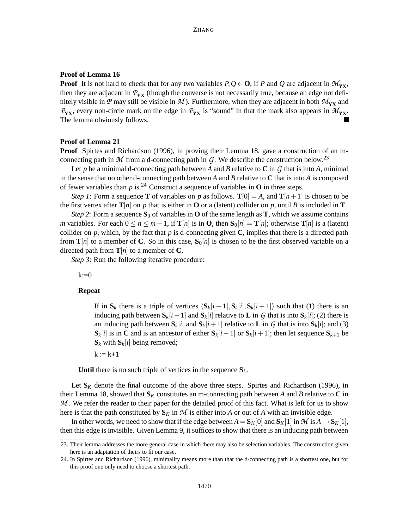### **Proof of Lemma 16**

**Proof** It is not hard to check that for any two variables  $P, Q \in \mathbf{O}$ , if *P* and *Q* are adjacent in  $\mathcal{M}_{\mathbf{Y}\overline{\mathbf{X}}}$ , then they are adjacent in  $\mathcal{P}_{Y\overline{X}}$  (though the converse is not necessarily true, because an edge not definitely visible in  $P$  may still be visible in  $M$ ). Furthermore, when they are adjacent in both  $M_{Y\overline{X}}$  and  $P_{Y\overline{X}}$ , every non-circle mark on the edge in  $P_{Y\overline{X}}$  is "sound" in that the mark also appears in  $\mathcal{M}_{Y\overline{X}}$ . The lemma obviously follows.

#### **Proof of Lemma 21**

**Proof** Spirtes and Richardson (1996), in proving their Lemma 18, gave a construction of an mconnecting path in  $M$  from a d-connecting path in  $G$ . We describe the construction below.<sup>23</sup>

Let *p* be a minimal d-connecting path between *A* and *B* relative to **C** in  $G$  that is into *A*, minimal in the sense that no other d-connecting path between *A* and *B* relative to **C** that is into *A* is composed of fewer variables than  $p$  is.<sup>24</sup> Construct a sequence of variables in **O** in three steps.

*Step 1*: Form a sequence **T** of variables on *p* as follows. **T**[0] = *A*, and **T**[*n*+1] is chosen to be the first vertex after  $\mathbf{T}[n]$  on p that is either in **O** or a (latent) collider on p, until B is included in **T**.

*Step* 2: Form a sequence  $S_0$  of variables in **O** of the same length as **T**, which we assume contains *m* variables. For each  $0 \le n \le m-1$ , if  $\mathbf{T}[n]$  is in **O**, then  $\mathbf{S}_0[n] = \mathbf{T}[n]$ ; otherwise  $\mathbf{T}[n]$  is a (latent) collider on  $p$ , which, by the fact that  $p$  is d-connecting given  $C$ , implies that there is a directed path from  $\mathbf{T}[n]$  to a member of **C**. So in this case,  $\mathbf{S}_0[n]$  is chosen to be the first observed variable on a directed path from  $\mathbf{T}[n]$  to a member of **C**.

*Step* 3: Run the following iterative procedure:

 $k:=0$ 

### **Repeat**

If in  $\mathbf{S}_k$  there is a triple of vertices  $\langle \mathbf{S}_k[i-1], \mathbf{S}_k[i], \mathbf{S}_k[i+1] \rangle$  such that (1) there is an inducing path between  $S_k[i-1]$  and  $S_k[i]$  relative to **L** in G that is into  $S_k[i]$ ; (2) there is an inducing path between  $\mathbf{S}_k[i]$  and  $\mathbf{S}_k[i+1]$  relative to **L** in *G* that is into  $\mathbf{S}_k[i]$ ; and (3) **S**<sup>*k*</sup>[*i*] is in **C** and is an ancestor of either  $S_k[i-1]$  or  $S_k[i+1]$ ; then let sequence  $S_{k+1}$  be  $S_k$  with  $S_k[i]$  being removed;

 $k := k+1$ 

**Until** there is no such triple of vertices in the sequence  $S_k$ .

Let  $S_K$  denote the final outcome of the above three steps. Spirtes and Richardson (1996), in their Lemma 18, showed that  $S_K$  constitutes an m-connecting path between A and B relative to C in M. We refer the reader to their paper for the detailed proof of this fact. What is left for us to show here is that the path constituted by  $S_K$  in  $M$  is either into  $A$  or out of  $A$  with an invisible edge.

In other words, we need to show that if the edge between  $A = S_K[0]$  and  $S_K[1]$  in  $\mathcal{M}$  is  $A \to S_K[1]$ , then this edge is invisible. Given Lemma 9, it suffices to show that there is an inducing path between

<sup>23.</sup> Their lemma addresses the more general case in which there may also be selection variables. The construction given here is an adaptation of theirs to fit our case.

<sup>24.</sup> In Spirtes and Richardson (1996), minimality means more than that the d-connecting path is a shortest one, but for this proof one only need to choose a shortest path.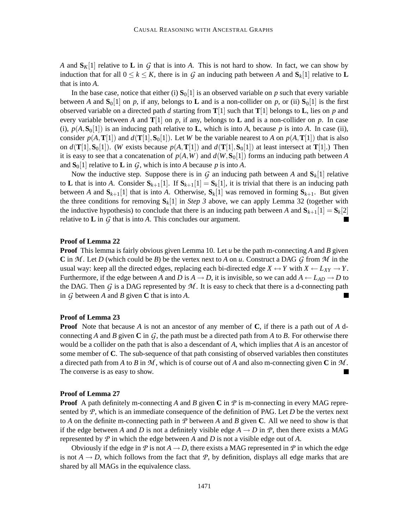*A* and  $S_K[1]$  relative to **L** in *G* that is into *A*. This is not hard to show. In fact, we can show by induction that for all  $0 \le k \le K$ , there is in *G* an inducing path between *A* and  $S_k[1]$  relative to **L** that is into *A*.

In the base case, notice that either (i)  $S_0[1]$  is an observed variable on *p* such that every variable between *A* and  $\mathbf{S}_0[1]$  on *p*, if any, belongs to **L** and is a non-collider on *p*, or (ii)  $\mathbf{S}_0[1]$  is the first observed variable on a directed path *d* starting from  $\mathbf{T}[1]$  such that  $\mathbf{T}[1]$  belongs to **L**, lies on *p* and every variable between *A* and  $\mathbf{T}[1]$  on *p*, if any, belongs to **L** and is a non-collider on *p*. In case (i),  $p(A, S<sub>0</sub>[1])$  is an inducing path relative to **L**, which is into *A*, because *p* is into *A*. In case (ii), consider  $p(A, \mathbf{T}[1])$  and  $d(\mathbf{T}[1], \mathbf{S}_0[1])$ . Let *W* be the variable nearest to *A* on  $p(A, \mathbf{T}[1])$  that is also on  $d(\mathbf{T}[1], \mathbf{S}_0[1])$ . (*W* exists because  $p(A, \mathbf{T}[1])$  and  $d(\mathbf{T}[1], \mathbf{S}_0[1])$  at least intersect at  $\mathbf{T}[1]$ .) Then it is easy to see that a concatenation of  $p(A, W)$  and  $d(W, S_0[1])$  forms an inducing path between *A* and  $S_0[1]$  relative to **L** in *G*, which is into *A* because *p* is into *A*.

Now the inductive step. Suppose there is in  $G$  an inducing path between  $A$  and  $S_k[1]$  relative to **L** that is into *A*. Consider  $S_{k+1}[1]$ . If  $S_{k+1}[1] = S_k[1]$ , it is trivial that there is an inducing path between *A* and  $S_{k+1}[1]$  that is into *A*. Otherwise,  $S_k[1]$  was removed in forming  $S_{k+1}$ . But given the three conditions for removing  $S_k[1]$  in *Step* 3 above, we can apply Lemma 32 (together with the inductive hypothesis) to conclude that there is an inducing path between *A* and  $S_{k+1}[1] = S_k[2]$ relative to  $\bf{L}$  in  $\bf{G}$  that is into  $\bf{A}$ . This concludes our argument.

### **Proof of Lemma 22**

**Proof** This lemma is fairly obvious given Lemma 10. Let *u* be the path m-connecting *A* and *B* given **C** in *M* . Let *D* (which could be *B*) be the vertex next to *A* on *u*. Construct a DAG *G* from *M* in the usual way: keep all the directed edges, replacing each bi-directed edge  $X \leftrightarrow Y$  with  $X \leftarrow L_{XY} \rightarrow Y$ . Furthermore, if the edge between *A* and *D* is  $A \rightarrow D$ , it is invisible, so we can add  $A \leftarrow L_{AD} \rightarrow D$  to the DAG. Then  $G$  is a DAG represented by  $M$ . It is easy to check that there is a d-connecting path in *G* between *A* and *B* given **C** that is into *A*. П

### **Proof of Lemma 23**

**Proof** Note that because *A* is not an ancestor of any member of **C**, if there is a path out of *A* dconnecting *A* and *B* given **C** in  $G$ , the path must be a directed path from *A* to *B*. For otherwise there would be a collider on the path that is also a descendant of *A*, which implies that *A* is an ancestor of some member of **C**. The sub-sequence of that path consisting of observed variables then constitutes a directed path from *A* to *B* in *M* , which is of course out of *A* and also m-connecting given **C** in *M* . The converse is as easy to show.

#### **Proof of Lemma 27**

**Proof** A path definitely m-connecting A and B given C in  $P$  is m-connecting in every MAG represented by *P*, which is an immediate consequence of the definition of PAG. Let *D* be the vertex next to *A* on the definite m-connecting path in *P* between *A* and *B* given **C**. All we need to show is that if the edge between *A* and *D* is not a definitely visible edge  $A \rightarrow D$  in *P*, then there exists a MAG represented by *P* in which the edge between *A* and *D* is not a visible edge out of *A*.

Obviously if the edge in  $P$  is not  $A \rightarrow D$ , there exists a MAG represented in  $P$  in which the edge is not  $A \rightarrow D$ , which follows from the fact that *P*, by definition, displays all edge marks that are shared by all MAGs in the equivalence class.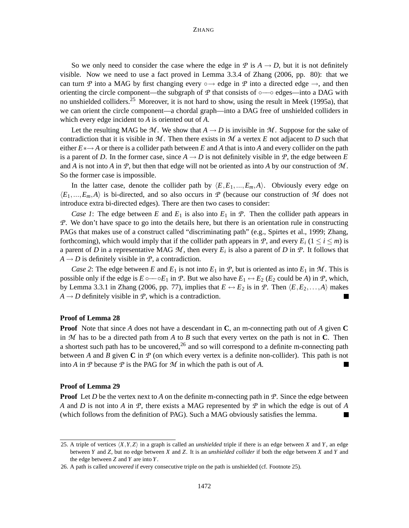So we only need to consider the case where the edge in  $P$  is  $A \rightarrow D$ , but it is not definitely visible. Now we need to use a fact proved in Lemma 3.3.4 of Zhang (2006, pp. 80): that we can turn *P* into a MAG by first changing every  $\circ \rightarrow$  edge in *P* into a directed edge  $\rightarrow$ , and then orienting the circle component—the subgraph of  $\mathcal P$  that consists of ∘— $\circ$  edges—into a DAG with no unshielded colliders.<sup>25</sup> Moreover, it is not hard to show, using the result in Meek (1995a), that we can orient the circle component—a chordal graph—into a DAG free of unshielded colliders in which every edge incident to *A* is oriented out of *A*.

Let the resulting MAG be  $M$ . We show that  $A \rightarrow D$  is invisible in M. Suppose for the sake of contradiction that it is visible in  $M$ . Then there exists in  $M$  a vertex  $E$  not adjacent to  $D$  such that either *E*∗→ *A* or there is a collider path between *E* and *A* that is into *A* and every collider on the path is a parent of *D*. In the former case, since  $A \rightarrow D$  is not definitely visible in *P*, the edge between *E* and *A* is not into *A* in *P*, but then that edge will not be oriented as into *A* by our construction of *M* . So the former case is impossible.

In the latter case, denote the collider path by  $\langle E, E_1, ..., E_m, A \rangle$ . Obviously every edge on  $\langle E_1,...,E_m,A\rangle$  is bi-directed, and so also occurs in *P* (because our construction of *M* does not introduce extra bi-directed edges). There are then two cases to consider:

*Case* 1: The edge between *E* and  $E_1$  is also into  $E_1$  in *P*. Then the collider path appears in *P*. We don't have space to go into the details here, but there is an orientation rule in constructing PAGs that makes use of a construct called "discriminating path" (e.g., Spirtes et al., 1999; Zhang, forthcoming), which would imply that if the collider path appears in *P*, and every  $E_i$  ( $1 \le i \le m$ ) is a parent of *D* in a representative MAG  $M$ , then every  $E_i$  is also a parent of *D* in  $\mathcal{P}$ . It follows that  $A \rightarrow D$  is definitely visible in  $P$ , a contradiction.

*Case* 2: The edge between *E* and  $E_1$  is not into  $E_1$  in *P*, but is oriented as into  $E_1$  in *M*. This is possible only if the edge is  $E \circ \sim bE_1$  in *P*. But we also have  $E_1 \leftrightarrow E_2$  ( $E_2$  could be *A*) in *P*, which, by Lemma 3.3.1 in Zhang (2006, pp. 77), implies that  $E \leftrightarrow E_2$  is in *P*. Then  $\langle E, E_2, \ldots, A \rangle$  makes  $A \rightarrow D$  definitely visible in *P*, which is a contradiction.

#### **Proof of Lemma 28**

**Proof** Note that since *A* does not have a descendant in **C**, an m-connecting path out of *A* given **C** in *M* has to be a directed path from *A* to *B* such that every vertex on the path is not in **C**. Then a shortest such path has to be uncovered,  $26$  and so will correspond to a definite m-connecting path between *A* and *B* given **C** in *P* (on which every vertex is a definite non-collider). This path is not into *A* in *P* because *P* is the PAG for *M* in which the path is out of *A*. П

#### **Proof of Lemma 29**

**Proof** Let *D* be the vertex next to *A* on the definite m-connecting path in *P*. Since the edge between *A* and *D* is not into *A* in *P*, there exists a MAG represented by *P* in which the edge is out of *A* (which follows from the definition of PAG). Such a MAG obviously satisfies the lemma.  $\blacksquare$ 

<sup>25.</sup> A triple of vertices  $\langle X, Y, Z \rangle$  in a graph is called an *unshielded* triple if there is an edge between *X* and *Y*, an edge between *Y* and *Z*, but no edge between *X* and *Z*. It is an *unshielded collider* if both the edge between *X* and *Y* and the edge between *Z* and *Y* are into *Y*.

<sup>26.</sup> A path is called *uncovered* if every consecutive triple on the path is unshielded (cf. Footnote 25).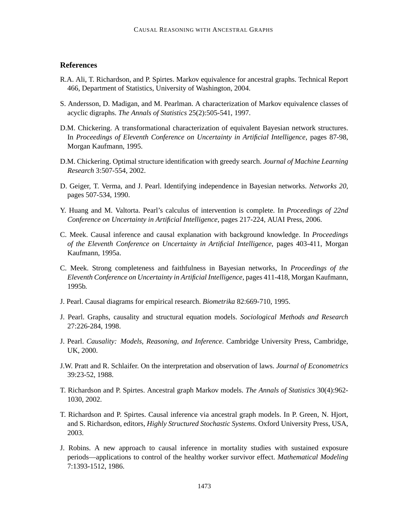# **References**

- R.A. Ali, T. Richardson, and P. Spirtes. Markov equivalence for ancestral graphs. Technical Report 466, Department of Statistics, University of Washington, 2004.
- S. Andersson, D. Madigan, and M. Pearlman. A characterization of Markov equivalence classes of acyclic digraphs. *The Annals of Statistics* 25(2):505-541, 1997.
- D.M. Chickering. A transformational characterization of equivalent Bayesian network structures. In *Proceedings of Eleventh Conference on Uncertainty in Artificial Intelligence*, pages 87-98, Morgan Kaufmann, 1995.
- D.M. Chickering. Optimal structure identification with greedy search. *Journal of Machine Learning Research* 3:507-554, 2002.
- D. Geiger, T. Verma, and J. Pearl. Identifying independence in Bayesian networks. *Networks 20*, pages 507-534, 1990.
- Y. Huang and M. Valtorta. Pearl's calculus of intervention is complete. In *Proceedings of 22nd Conference on Uncertainty in Artificial Intelligence*, pages 217-224, AUAI Press, 2006.
- C. Meek. Causal inference and causal explanation with background knowledge. In *Proceedings of the Eleventh Conference on Uncertainty in Artificial Intelligence*, pages 403-411, Morgan Kaufmann, 1995a.
- C. Meek. Strong completeness and faithfulness in Bayesian networks, In *Proceedings of the Eleventh Conference on Uncertainty in Artificial Intelligence*, pages 411-418, Morgan Kaufmann, 1995b.
- J. Pearl. Causal diagrams for empirical research. *Biometrika* 82:669-710, 1995.
- J. Pearl. Graphs, causality and structural equation models. *Sociological Methods and Research* 27:226-284, 1998.
- J. Pearl. *Causality: Models, Reasoning, and Inference*. Cambridge University Press, Cambridge, UK, 2000.
- J.W. Pratt and R. Schlaifer. On the interpretation and observation of laws. *Journal of Econometrics* 39:23-52, 1988.
- T. Richardson and P. Spirtes. Ancestral graph Markov models. *The Annals of Statistics* 30(4):962- 1030, 2002.
- T. Richardson and P. Spirtes. Causal inference via ancestral graph models. In P. Green, N. Hjort, and S. Richardson, editors, *Highly Structured Stochastic Systems*. Oxford University Press, USA, 2003.
- J. Robins. A new approach to causal inference in mortality studies with sustained exposure periods—applications to control of the healthy worker survivor effect. *Mathematical Modeling* 7:1393-1512, 1986.